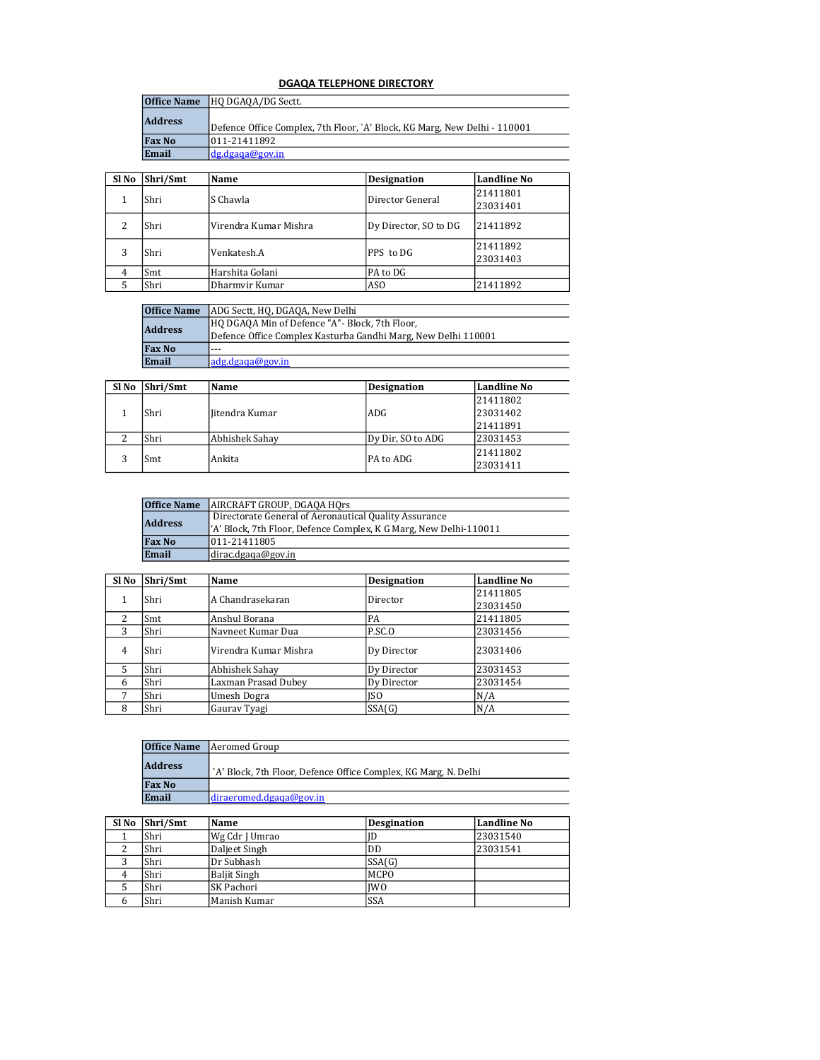## DGAQA TELEPHONE DIRECTORY

| <b>Office Name</b> | HO DGAQA/DG Sectt.                                                        |
|--------------------|---------------------------------------------------------------------------|
| <b>Address</b>     | Defence Office Complex, 7th Floor, `A' Block, KG Marg, New Delhi - 110001 |
| <b>Fax No</b>      | 1011-21411892                                                             |
| Email              | ldg.dgaga@gov.in                                                          |

| Sl No | Shri/Smt | Name                  | <b>Designation</b>    | <b>Landline No</b>   |
|-------|----------|-----------------------|-----------------------|----------------------|
|       | Shri     | lS Chawla.            | Director General      | 21411801<br>23031401 |
| 2     | Shri     | Virendra Kumar Mishra | Dy Director, SO to DG | 21411892             |
| 3     | Shri     | Venkatesh.A           | PPS to DG             | 21411892             |
|       |          |                       |                       | 23031403             |
| 4     | Smt      | Harshita Golani       | PA to DG              |                      |
|       | Shri     | Dharmvir Kumar        | AS <sub>O</sub>       | 21411892             |

| <b>Office Name</b> | ADG Sectt, HQ, DGAQA, New Delhi                               |  |
|--------------------|---------------------------------------------------------------|--|
| <b>Address</b>     | HQ DGAQA Min of Defence "A"- Block, 7th Floor,                |  |
|                    | Defence Office Complex Kasturba Gandhi Marg, New Delhi 110001 |  |
| <b>Fax No</b>      | $- - -$                                                       |  |
| Email              | adg.dgaga@gov.in                                              |  |

| Sl No | Shri/Smt | Name           | <b>Designation</b> | Landline No |
|-------|----------|----------------|--------------------|-------------|
|       |          |                |                    | 21411802    |
|       | Shri     | Iitendra Kumar | ADG                | 23031402    |
|       |          |                |                    | 21411891    |
|       | Shri     | Abhishek Sahay | Dy Dir, SO to ADG  | 23031453    |
|       | Smt      |                | PA to ADG          | 21411802    |
|       |          | Ankita         |                    | 23031411    |

| <b>Office Name</b> | AIRCRAFT GROUP, DGAQA HOrs                                         |
|--------------------|--------------------------------------------------------------------|
|                    | Directorate General of Aeronautical Quality Assurance              |
| <b>Address</b>     | ['A' Block, 7th Floor, Defence Complex, K G Marg, New Delhi-110011 |
| <b>Fax No</b>      | 011-21411805                                                       |
| Email              | dirac.dgaqa@gov.in                                                 |

| Sl No | Shri/Smt | Name                  | <b>Designation</b> | <b>Landline No</b> |
|-------|----------|-----------------------|--------------------|--------------------|
|       |          |                       |                    |                    |
|       | Shri     | A Chandrasekaran      | Director           | 21411805           |
|       |          |                       |                    | 23031450           |
| 2     | Smt      | Anshul Borana         | PA                 | 21411805           |
| 3     | Shri     | Navneet Kumar Dua     | P.SC.O             | 23031456           |
| 4     | Shri     | Virendra Kumar Mishra | Dy Director        | 23031406           |
| 5     | Shri     | Abhishek Sahay        | Dy Director        | 23031453           |
| 6     | Shri     | Laxman Prasad Dubey   | Dy Director        | 23031454           |
| 7     | Shri     | Umesh Dogra           | ISO                | N/A                |
| 8     | Shri     | Gauray Tyagi          | SSA(G)             | N/A                |

| <b>Office Name</b> | Aeromed Group                                                   |
|--------------------|-----------------------------------------------------------------|
| <b>Address</b>     | `A' Block, 7th Floor, Defence Office Complex, KG Marg, N. Delhi |
| <b>Fax No</b>      |                                                                 |
| Email              | diraeromed.dgaqaa@gov.in                                        |

| Sl No | Shri/Smt | Name                | <b>Desgination</b> | <b>Landline No</b> |
|-------|----------|---------------------|--------------------|--------------------|
|       | Shri     | Wg Cdr J Umrao      | ID                 | 23031540           |
|       | Shri     | Daljeet Singh       | DD                 | 23031541           |
|       | Shri     | Dr Subhash          | SSA(G)             |                    |
| 4     | Shri     | <b>Baljit Singh</b> | <b>MCPO</b>        |                    |
|       | Shri     | SK Pachori          | <b>IWO</b>         |                    |
|       | Shri     | Manish Kumar        | <b>SSA</b>         |                    |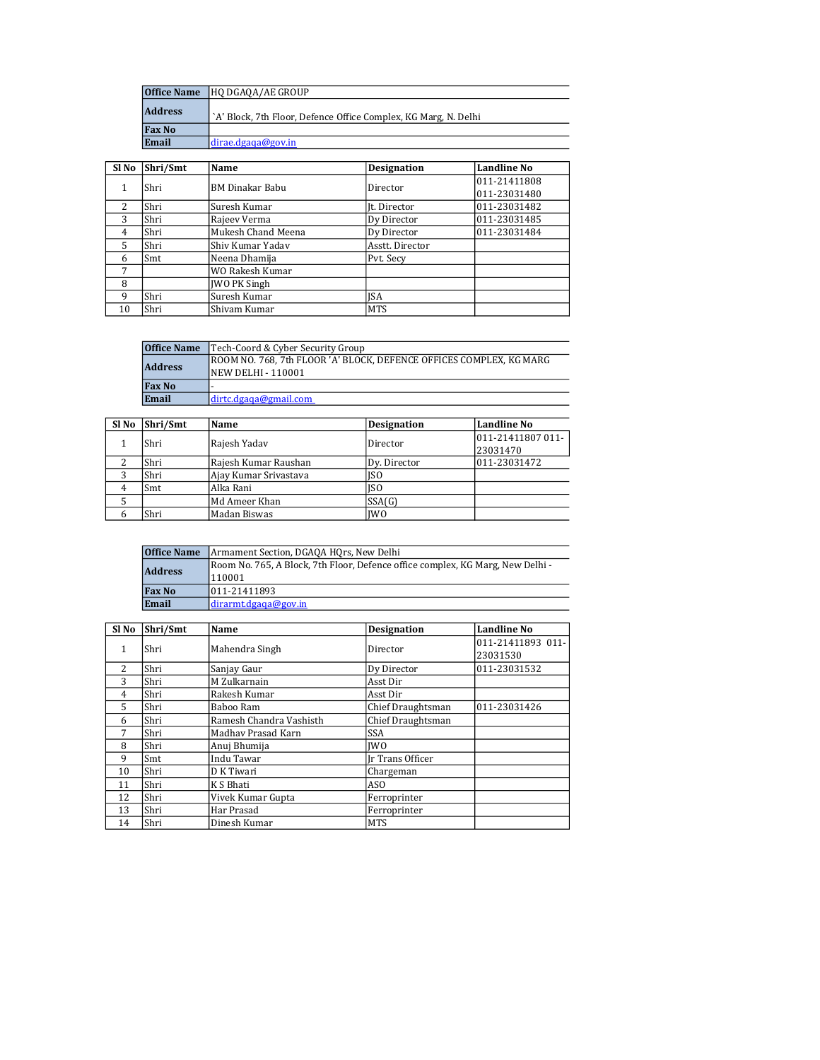| <b>Office Name</b> | <b>HO DGAOA/AE GROUP</b>                                        |
|--------------------|-----------------------------------------------------------------|
| <b>Address</b>     | `A' Block, 7th Floor, Defence Office Complex, KG Marg, N. Delhi |
| <b>Fax No</b>      |                                                                 |
| Email              | distance.dgada@gov.in                                           |

| Sl No | Shri/Smt | Name                   | <b>Designation</b> | <b>Landline No</b> |
|-------|----------|------------------------|--------------------|--------------------|
|       | Shri     | <b>BM Dinakar Babu</b> | Director           | 011-21411808       |
|       |          |                        |                    | 011-23031480       |
| 2     | Shri     | Suresh Kumar           | It. Director       | 011-23031482       |
| 3     | Shri     | Rajeev Verma           | Dy Director        | 011-23031485       |
| 4     | Shri     | Mukesh Chand Meena     | Dy Director        | 011-23031484       |
| 5     | Shri     | Shiy Kumar Yaday       | Asstt. Director    |                    |
| 6     | Smt      | Neena Dhamija          | Pyt. Secy          |                    |
| 7     |          | WO Rakesh Kumar        |                    |                    |
| 8     |          | <b>IWO PK Singh</b>    |                    |                    |
| 9     | Shri     | Suresh Kumar           | <b>ISA</b>         |                    |
| 10    | Shri     | Shivam Kumar           | <b>MTS</b>         |                    |

| <b>Office Name</b> | Tech-Coord & Cyber Security Group                                                          |
|--------------------|--------------------------------------------------------------------------------------------|
| <b>Address</b>     | ROOM NO. 768. 7th FLOOR 'A' BLOCK. DEFENCE OFFICES COMPLEX. KG MARG<br> NEW DELHI - 110001 |
| <b>Fax No</b>      |                                                                                            |
| Email              | dirtc.dgaga@gmail.com                                                                      |

| Sl No | Shri/Smt | Name                  | <b>Designation</b> | <b>Landline No</b> |
|-------|----------|-----------------------|--------------------|--------------------|
|       | Shri     | Rajesh Yadav          | Director           | 1011-21411807 011- |
|       |          |                       |                    | 23031470           |
|       | Shri     | Rajesh Kumar Raushan  | Dv. Director       | 011-23031472       |
| 3     | Shri     | Ajay Kumar Srivastava | ISO                |                    |
|       | Smt      | Alka Rani             | ISO                |                    |
|       |          | Md Ameer Khan         | SSA(G)             |                    |
|       | Shri     | Madan Biswas          | <b>IWO</b>         |                    |

| <b>Office Name</b>                                                                                         | Armament Section, DGAQA HQrs, New Delhi |  |
|------------------------------------------------------------------------------------------------------------|-----------------------------------------|--|
| Room No. 765, A Block, 7th Floor, Defence office complex, KG Marg, New Delhi -<br><b>Address</b><br>110001 |                                         |  |
| <b>Fax No</b>                                                                                              | 011-21411893                            |  |
| Email                                                                                                      | ldirarmt.dgaga@gov.in                   |  |

| Sl No         | Shri/Smt | Name                    | <b>Designation</b> | <b>Landline No</b>            |
|---------------|----------|-------------------------|--------------------|-------------------------------|
| 1             | Shri     | Mahendra Singh          | Director           | 011-21411893 011-<br>23031530 |
| $\mathcal{L}$ | Shri     | Sanjay Gaur             | Dy Director        | 011-23031532                  |
| 3             | Shri     | M Zulkarnain            | Asst Dir           |                               |
| 4             | Shri     | Rakesh Kumar            | Asst Dir           |                               |
| 5             | Shri     | Baboo Ram               | Chief Draughtsman  | 011-23031426                  |
| 6             | Shri     | Ramesh Chandra Vashisth | Chief Draughtsman  |                               |
| 7             | Shri     | Madhay Prasad Karn      | <b>SSA</b>         |                               |
| 8             | Shri     | Anuj Bhumija            | <b>IWO</b>         |                               |
| 9             | Smt      | Indu Tawar              | Ir Trans Officer   |                               |
| 10            | Shri     | D K Tiwari              | Chargeman          |                               |
| 11            | Shri     | K S Bhati               | ASO                |                               |
| 12            | Shri     | Vivek Kumar Gupta       | Ferroprinter       |                               |
| 13            | Shri     | Har Prasad              | Ferroprinter       |                               |
| 14            | Shri     | Dinesh Kumar            | <b>MTS</b>         |                               |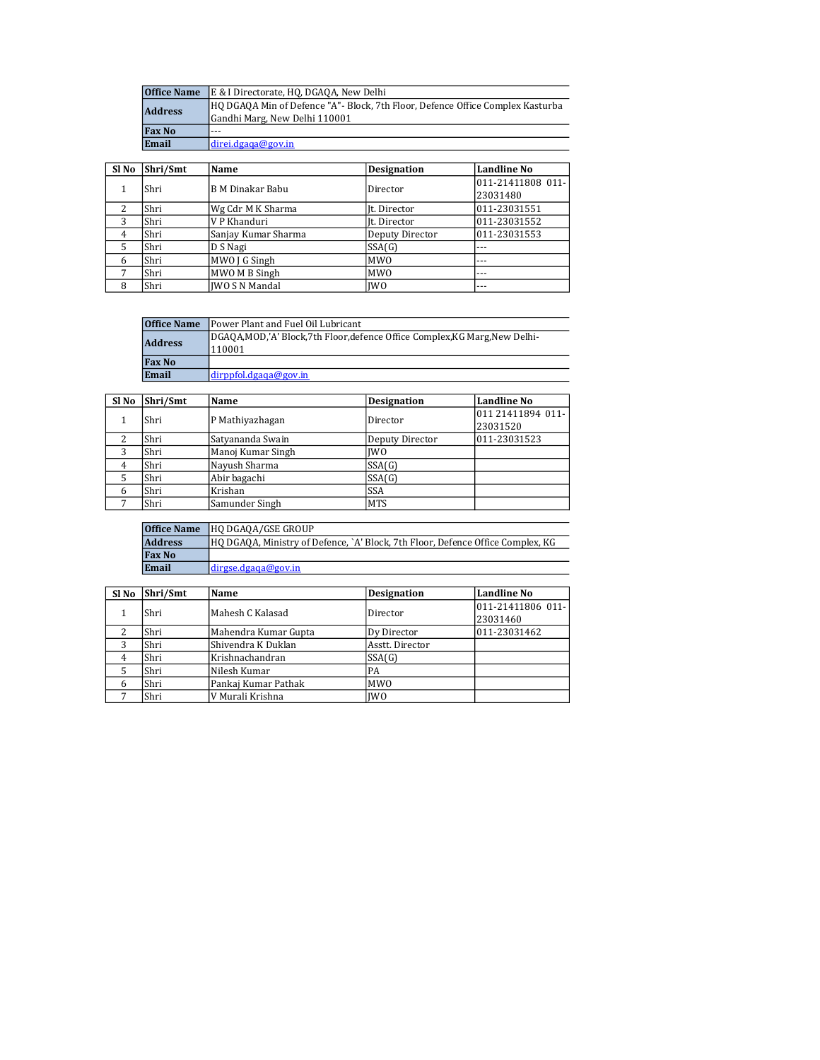| <b>Office Name</b> | E & I Directorate, HQ, DGAQA, New Delhi                                                                         |  |  |
|--------------------|-----------------------------------------------------------------------------------------------------------------|--|--|
| <b>Address</b>     | HO DGAQA Min of Defence "A"- Block, 7th Floor, Defence Office Complex Kasturba<br>Gandhi Marg, New Delhi 110001 |  |  |
| <b>Fax No</b>      | $- - -$                                                                                                         |  |  |
| Email              | ldirei.dgaga@gov.in                                                                                             |  |  |

| SI <sub>No</sub> | Shri/Smt | Name                  | <b>Designation</b> | <b>Landline No</b> |
|------------------|----------|-----------------------|--------------------|--------------------|
|                  | Shri     | B M Dinakar Babu      | Director           | 011-21411808 011-  |
|                  |          |                       |                    | 23031480           |
| 2                | Shri     | Wg Cdr M K Sharma     | It. Director       | 011-23031551       |
| 3                | Shri     | V P Khanduri          | It. Director       | 011-23031552       |
| 4                | Shri     | Sanjay Kumar Sharma   | Deputy Director    | 011-23031553       |
| 5                | Shri     | D S Nagi              | SSA(G)             | $---$              |
| 6                | Shri     | MWO J G Singh         | <b>MWO</b>         | $- - -$            |
| 7                | Shri     | MWO M B Singh         | <b>MWO</b>         | $- - -$            |
| 8                | Shri     | <b>IWO S N Mandal</b> | <b>IWO</b>         | $- - -$            |

| <b>Office Name</b>                                                                                  | Power Plant and Fuel Oil Lubricant |
|-----------------------------------------------------------------------------------------------------|------------------------------------|
| DGAQA,MOD,'A' Block,7th Floor,defence Office Complex,KG Marg,New Delhi-<br><b>Address</b><br>110001 |                                    |
| <b>Fax No</b>                                                                                       |                                    |
| Email                                                                                               | dirppfol.dgaga@gov.in              |

| Sl No | Shri/Smt | Name              | <b>Designation</b> | Landline No                   |
|-------|----------|-------------------|--------------------|-------------------------------|
|       | Shri     | P Mathiyazhagan   | Director           | 011 21411894 011-<br>23031520 |
| າ     | Shri     | Satyananda Swain  | Deputy Director    | 011-23031523                  |
| 3     | Shri     | Manoj Kumar Singh | <b>IWO</b>         |                               |
| 4     | Shri     | Nayush Sharma     | SSA(G)             |                               |
|       | Shri     | Abir bagachi      | SSA(G)             |                               |
| 6     | Shri     | Krishan           | <b>SSA</b>         |                               |
|       | Shri     | Samunder Singh    | <b>MTS</b>         |                               |

| <b>Office Name</b> | <b>HO DGAOA/GSE GROUP</b>                                                       |
|--------------------|---------------------------------------------------------------------------------|
| <b>Address</b>     | HQ DGAQA, Ministry of Defence, `A' Block, 7th Floor, Defence Office Complex, KG |
| <b>Fax No</b>      |                                                                                 |
| Email              | dirgse.dgaqa@gov.in                                                             |

| Sl No | Shri/Smt | Name                 | <b>Designation</b> | Landline No                   |
|-------|----------|----------------------|--------------------|-------------------------------|
|       | Shri     | Mahesh C Kalasad     | Director           | 011-21411806 011-<br>23031460 |
|       | Shri     | Mahendra Kumar Gupta | Dy Director        | 011-23031462                  |
| 3     | Shri     | Shivendra K Duklan   | Asstt. Director    |                               |
| 4     | Shri     | Krishnachandran      | SSA(G)             |                               |
| 5     | Shri     | Nilesh Kumar         | PA                 |                               |
| 6     | Shri     | Pankaj Kumar Pathak  | <b>MWO</b>         |                               |
|       | Shri     | V Murali Krishna     | <b>IWO</b>         |                               |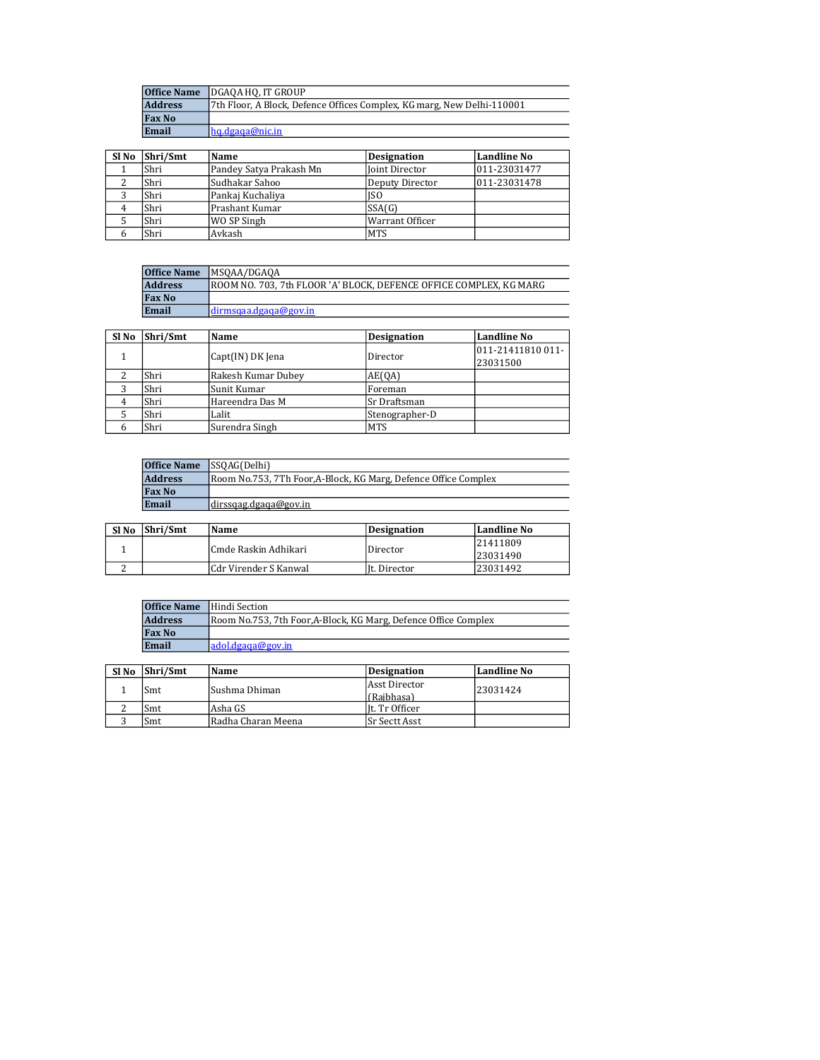| <b>Office Name</b> | IDGAOA HO. IT GROUP                                                    |
|--------------------|------------------------------------------------------------------------|
| <b>Address</b>     | 7th Floor, A Block, Defence Offices Complex, KG marg, New Delhi-110001 |
| <b>Fax No</b>      |                                                                        |
| Email              | hq.dgaqa@nic.in                                                        |

| Sl No | Shri/Smt | Name                    | <b>Designation</b> | Landline No  |
|-------|----------|-------------------------|--------------------|--------------|
|       | Shri     | Pandey Satya Prakash Mn | Joint Director     | 011-23031477 |
|       | Shri     | Sudhakar Sahoo          | Deputy Director    | 011-23031478 |
|       | Shri     | Pankaj Kuchaliya        | ISO                |              |
|       | Shri     | Prashant Kumar          | SSA(G)             |              |
|       | Shri     | WO SP Singh             | Warrant Officer    |              |
|       | Shri     | Avkash                  | <b>MTS</b>         |              |

| <b>Office Name</b> | MSOAA/DGAOA                                                         |
|--------------------|---------------------------------------------------------------------|
| <b>Address</b>     | IROOM NO. 703. 7th FLOOR 'A' BLOCK. DEFENCE OFFICE COMPLEX. KG MARG |
| <b>Fax No</b>      |                                                                     |
| Email              | dirmsqaa.dgaqa@gov.in                                               |

| SI <sub>No</sub> | Shri/Smt | Name                         | <b>Designation</b> | Landline No       |
|------------------|----------|------------------------------|--------------------|-------------------|
|                  |          |                              |                    | 011-21411810 011- |
|                  |          | Capt(IN) DK Jena<br>Director | 23031500           |                   |
|                  | Shri     | Rakesh Kumar Dubey           | AE(QA)             |                   |
| っ                | Shri     | Sunit Kumar                  | Foreman            |                   |
|                  | Shri     | Hareendra Das M              | Sr Draftsman       |                   |
|                  | Shri     | Lalit                        | Stenographer-D     |                   |
|                  | Shri     | Surendra Singh               | <b>MTS</b>         |                   |

| <b>Office Name</b> SSOAG(Delhi) |                                                                |
|---------------------------------|----------------------------------------------------------------|
| <b>Address</b>                  | Room No.753, 7Th Foor,A-Block, KG Marg, Defence Office Complex |
| <b>Fax No</b>                   |                                                                |
| Email                           | ldirssgag.dgaga@gov.in                                         |

| Sl No | Shri/Smt | Name                  | Designation  | Landline No |
|-------|----------|-----------------------|--------------|-------------|
|       |          | Cmde Raskin Adhikari  | Director     | 21411809    |
|       |          |                       |              | 23031490    |
|       |          | Cdr Virender S Kanwal | It. Director | 123031492   |

| <b>Office Name</b> | Hindi Section                                                   |  |
|--------------------|-----------------------------------------------------------------|--|
| <b>Address</b>     | Room No.753, 7th Foor, A-Block, KG Marg, Defence Office Complex |  |
| <b>Fax No</b>      |                                                                 |  |
| Email              | ladol. dea <sub>a</sub> @gov.in                                 |  |

| Sl <sub>No</sub> | Shri/Smt | Name               | Designation      | Landline No |
|------------------|----------|--------------------|------------------|-------------|
|                  | Smt      | Sushma Dhiman      | Asst Director    | 23031424    |
|                  |          |                    | l (Raibhasa)     |             |
|                  | Smt      | lAsha GS           | l It. Tr Officer |             |
|                  | Smt      | Radha Charan Meena | lSr Sectt Asst   |             |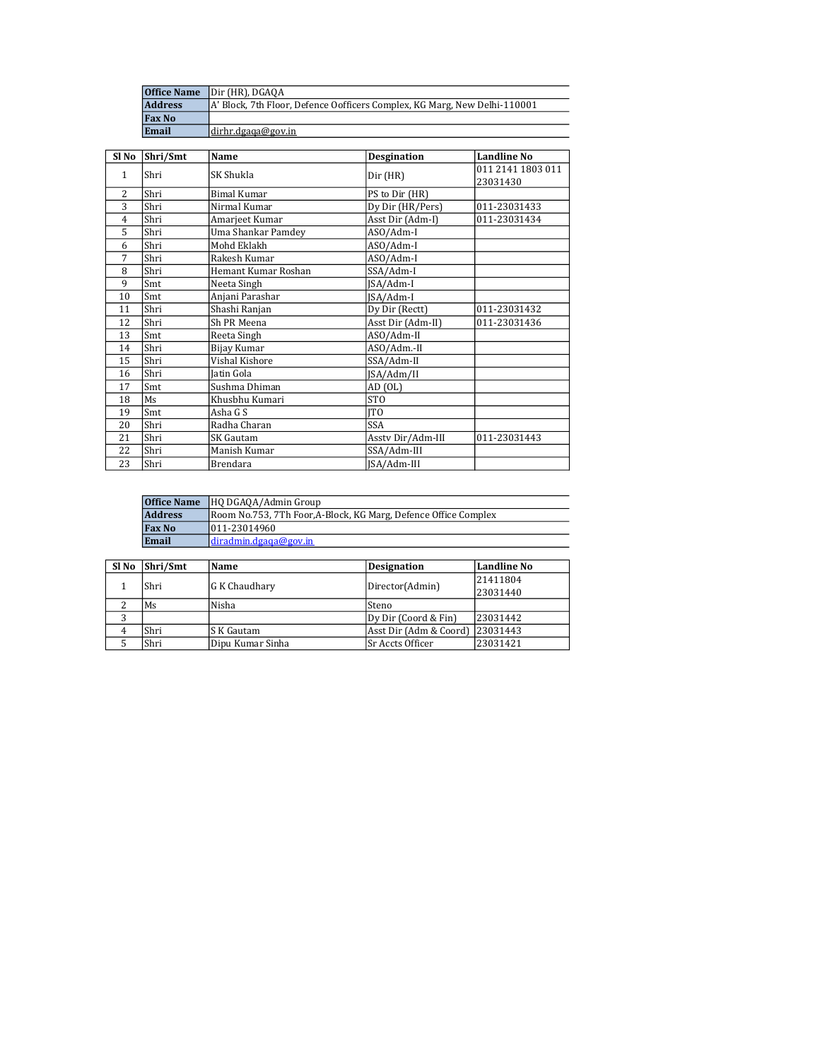| <b>Office Name</b> | Dir (HR), DGAQA                                                           |
|--------------------|---------------------------------------------------------------------------|
| <b>Address</b>     | A' Block, 7th Floor, Defence Oofficers Complex, KG Marg, New Delhi-110001 |
| <b>Fax No</b>      |                                                                           |
| Email              | dirhr.dgaqa@gov.in                                                        |

| Sl No          | Shri/Smt | Name                | <b>Desgination</b> | <b>Landline No</b> |
|----------------|----------|---------------------|--------------------|--------------------|
| $\mathbf{1}$   | Shri     | SK Shukla           |                    | 011 2141 1803 011  |
|                |          |                     | Dir (HR)           | 23031430           |
| $\overline{c}$ | Shri     | <b>Bimal Kumar</b>  | PS to Dir (HR)     |                    |
| 3              | Shri     | Nirmal Kumar        | Dy Dir (HR/Pers)   | 011-23031433       |
| 4              | Shri     | Amarjeet Kumar      | Asst Dir (Adm-I)   | 011-23031434       |
| 5              | Shri     | Uma Shankar Pamdey  | ASO/Adm-I          |                    |
| 6              | Shri     | Mohd Eklakh         | ASO/Adm-I          |                    |
| 7              | Shri     | Rakesh Kumar        | ASO/Adm-I          |                    |
| 8              | Shri     | Hemant Kumar Roshan | SSA/Adm-I          |                    |
| 9              | Smt      | Neeta Singh         | JSA/Adm-I          |                    |
| 10             | Smt      | Anjani Parashar     | JSA/Adm-I          |                    |
| 11             | Shri     | Shashi Ranjan       | Dy Dir (Rectt)     | 011-23031432       |
| 12             | Shri     | Sh PR Meena         | Asst Dir (Adm-II)  | 011-23031436       |
| 13             | Smt      | Reeta Singh         | ASO/Adm-II         |                    |
| 14             | Shri     | Bijay Kumar         | ASO/Adm.-II        |                    |
| 15             | Shri     | Vishal Kishore      | SSA/Adm-II         |                    |
| 16             | Shri     | <b>Jatin Gola</b>   | JSA/Adm/II         |                    |
| 17             | Smt      | Sushma Dhiman       | $AD$ $(OL)$        |                    |
| 18             | Ms       | Khusbhu Kumari      | ST <sub>O</sub>    |                    |
| 19             | Smt      | Asha G S            | <b>ITO</b>         |                    |
| 20             | Shri     | Radha Charan        | <b>SSA</b>         |                    |
| 21             | Shri     | SK Gautam           | Asstv Dir/Adm-III  | 011-23031443       |
| 22             | Shri     | Manish Kumar        | SSA/Adm-III        |                    |
| 23             | Shri     | <b>Brendara</b>     | ISA/Adm-III        |                    |

|                | <b>Office Name</b> HQ DGAQA/Admin Group                         |  |
|----------------|-----------------------------------------------------------------|--|
| <b>Address</b> | Room No.753, 7Th Foor, A-Block, KG Marg, Defence Office Complex |  |
| <b>Fax No</b>  | 011-23014960                                                    |  |
| Email          | ldiradmin.deqaa@gov.in                                          |  |

| Sl No | Shri/Smt | Name             | <b>Designation</b>              | Landline No |
|-------|----------|------------------|---------------------------------|-------------|
|       | Shri     | G K Chaudhary    |                                 | 21411804    |
|       |          |                  | Director(Admin)                 | 23031440    |
|       | Ms       | Nisha            | Steno                           |             |
| C     |          |                  | Dy Dir (Coord & Fin)            | 23031442    |
|       | Shri     | S K Gautam       | Asst Dir (Adm & Coord) 23031443 |             |
|       | Shri     | Dipu Kumar Sinha | <b>Sr Accts Officer</b>         | 23031421    |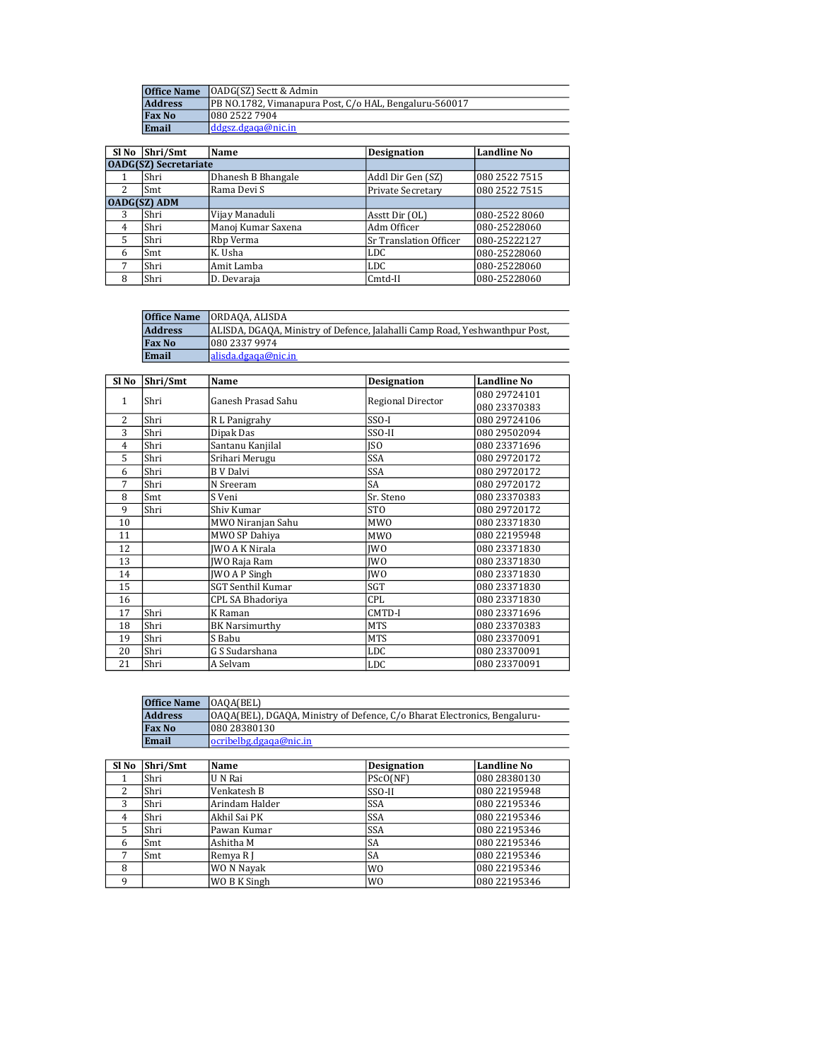| <b>Office Name</b> | <b>OADG(SZ)</b> Sectt & Admin                          |  |
|--------------------|--------------------------------------------------------|--|
| <b>Address</b>     | PB NO.1782, Vimanapura Post, C/o HAL, Bengaluru-560017 |  |
| <b>Fax No</b>      | 1080 2522 7904                                         |  |
| Email              | ddgsz.dgaga@nic.in                                     |  |

| Sl No               | Shri/Smt                     | Name               | <b>Designation</b>     | <b>Landline No</b> |  |
|---------------------|------------------------------|--------------------|------------------------|--------------------|--|
|                     | <b>OADG(SZ)</b> Secretariate |                    |                        |                    |  |
|                     | Shri                         | Dhanesh B Bhangale | Addl Dir Gen (SZ)      | 080 2522 7515      |  |
| $\mathcal{L}$       | Smt                          | Rama Devi S        | Private Secretary      | 080 2522 7515      |  |
| <b>OADG(SZ) ADM</b> |                              |                    |                        |                    |  |
| 3                   | Shri                         | Vijay Manaduli     | Asstt Dir (OL)         | 080-2522 8060      |  |
| 4                   | Shri                         | Manoj Kumar Saxena | Adm Officer            | 080-25228060       |  |
| 5                   | Shri                         | Rbp Verma          | Sr Translation Officer | 080-25222127       |  |
| 6                   | Smt                          | K. Usha            | LDC                    | 080-25228060       |  |
| 7                   | Shri                         | Amit Lamba         | <b>LDC</b>             | 080-25228060       |  |
| 8                   | Shri                         | D. Devaraja        | Cmtd-II                | 080-25228060       |  |

|                | <b>Office Name ORDAOA, ALISDA</b>                                           |
|----------------|-----------------------------------------------------------------------------|
| <b>Address</b> | ALISDA, DGAQA, Ministry of Defence, Jalahalli Camp Road, Yeshwanthpur Post, |
| <b>Fax No</b>  | 1080 2337 9974                                                              |
| Email          | alisda.dgaga@nic.in                                                         |

| Sl <sub>No</sub> | Shri/Smt | Name                     | <b>Designation</b>       | <b>Landline No</b> |
|------------------|----------|--------------------------|--------------------------|--------------------|
| 1                | Shri     | Ganesh Prasad Sahu       |                          | 080 29724101       |
|                  |          |                          | <b>Regional Director</b> | 080 23370383       |
| 2                | Shri     | R L Panigrahy            | $SSO-I$                  | 080 29724106       |
| 3                | Shri     | Dipak Das                | SSO-II                   | 080 2950 2094      |
| 4                | Shri     | Santanu Kanjilal         | <b>ISO</b>               | 080 23371696       |
| 5                | Shri     | Srihari Merugu           | <b>SSA</b>               | 080 29720172       |
| 6                | Shri     | <b>B</b> V Dalvi         | SSA                      | 080 29720172       |
| 7                | Shri     | N Sreeram                | SA                       | 080 29720172       |
| 8                | Smt      | S Veni                   | Sr. Steno                | 080 23370383       |
| 9                | Shri     | Shiv Kumar               | ST <sub>O</sub>          | 080 29720172       |
| 10               |          | MWO Niranjan Sahu        | <b>MWO</b>               | 080 23371830       |
| 11               |          | MWO SP Dahiya            | <b>MWO</b>               | 080 22195948       |
| 12               |          | <b>IWO A K Nirala</b>    | <b>IWO</b>               | 080 23371830       |
| 13               |          | JWO Raja Ram             | <b>IWO</b>               | 080 23371830       |
| 14               |          | <b>JWO A P Singh</b>     | <b>IWO</b>               | 080 23371830       |
| 15               |          | <b>SGT Senthil Kumar</b> | <b>SGT</b>               | 080 23371830       |
| 16               |          | CPL SA Bhadoriya         | CPL                      | 080 23371830       |
| 17               | Shri     | K Raman                  | CMTD-I                   | 080 23371696       |
| 18               | Shri     | <b>BK Narsimurthy</b>    | <b>MTS</b>               | 080 23370383       |
| 19               | Shri     | S Babu                   | <b>MTS</b>               | 080 23370091       |
| 20               | Shri     | G S Sudarshana           | LDC                      | 080 23370091       |
| 21               | Shri     | A Selvam                 | <b>LDC</b>               | 080 23370091       |

| <b>Office Name</b> | [OAOA(BEL)                                                                |
|--------------------|---------------------------------------------------------------------------|
| <b>Address</b>     | OAQA(BEL), DGAQA, Ministry of Defence, C/o Bharat Electronics, Bengaluru- |
| <b>Fax No</b>      | 1080 28380130                                                             |
| Email              | locribelbg.dgaga@nic.in                                                   |

| Sl No          | Shri/Smt | Name           | <b>Designation</b> | Landline No  |
|----------------|----------|----------------|--------------------|--------------|
|                | Shri     | U N Rai        | PScO(NF)           | 080 28380130 |
| 2              | Shri     | Venkatesh B    | SSO-II             | 080 22195948 |
| 3              | Shri     | Arindam Halder | <b>SSA</b>         | 080 22195346 |
| $\overline{4}$ | Shri     | Akhil Sai PK   | <b>SSA</b>         | 080 22195346 |
| 5              | Shri     | Pawan Kumar    | <b>SSA</b>         | 080 22195346 |
| 6              | Smt      | Ashitha M      | SA                 | 080 22195346 |
|                | Smt      | Remya R J      | SA                 | 080 22195346 |
| 8              |          | WO N Nayak     | W <sub>0</sub>     | 080 22195346 |
| q              |          | WO B K Singh   | W <sub>0</sub>     | 080 22195346 |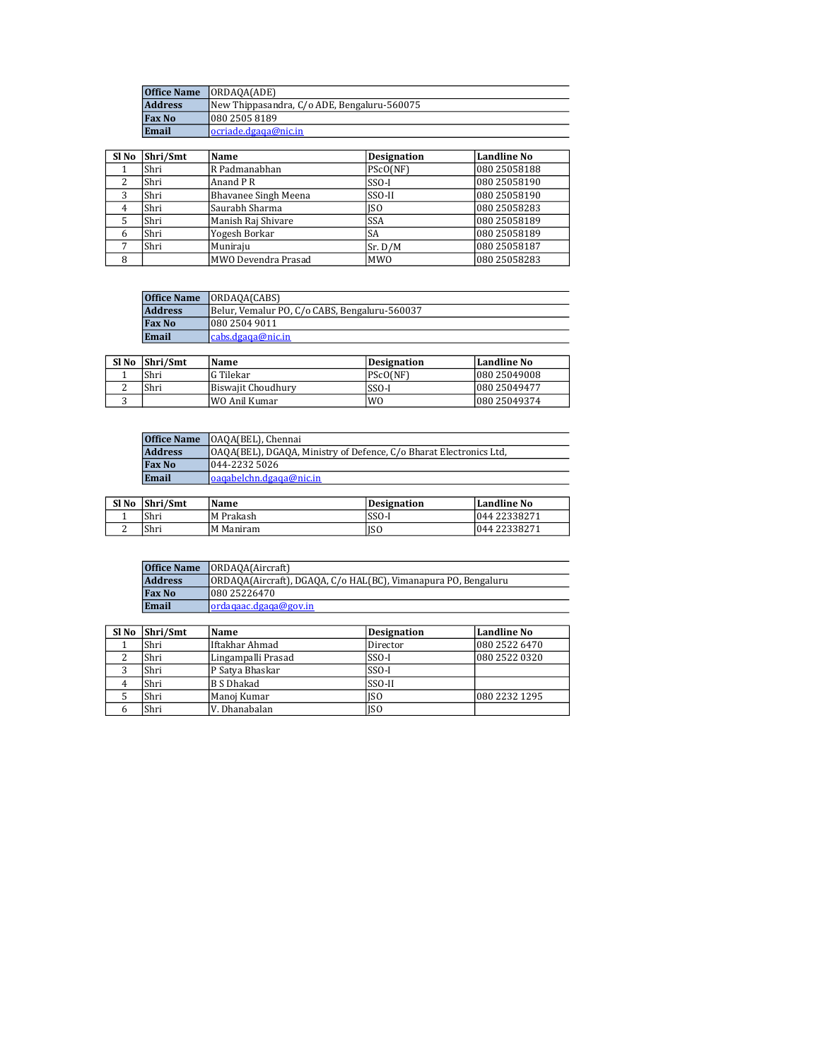|                | <b>Office Name [ORDAOA(ADE)</b>             |
|----------------|---------------------------------------------|
| <b>Address</b> | New Thippasandra, C/o ADE, Bengaluru-560075 |
| <b>Fax No</b>  | 080 2505 8189                               |
| Email          | locriade.dgaga@nic.in                       |

| Sl No         | Shri/Smt | Name                 | <b>Designation</b> | Landline No  |
|---------------|----------|----------------------|--------------------|--------------|
|               | Shri     | R Padmanabhan        | PScO(NF)           | 080 25058188 |
| $\mathcal{L}$ | Shri     | Anand P R            | $SSO-I$            | 080 25058190 |
| 3             | Shri     | Bhavanee Singh Meena | SSO-II             | 080 25058190 |
| 4             | Shri     | Saurabh Sharma       | ISO                | 080 25058283 |
|               | Shri     | Manish Raj Shivare   | <b>SSA</b>         | 080 25058189 |
| 6             | Shri     | Yogesh Borkar        | SA                 | 080 25058189 |
| ⇁             | Shri     | Muniraju             | Sr. D/M            | 080 25058187 |
| 8             |          | MWO Devendra Prasad  | <b>MWO</b>         | 080 25058283 |

| <b>Office Name</b> | <b>ORDAOA(CABS)</b>                           |
|--------------------|-----------------------------------------------|
| <b>Address</b>     | Belur, Vemalur PO, C/o CABS, Bengaluru-560037 |
| <b>Fax No</b>      | 1080 2504 9011                                |
| Email              | cabs.dgaga@nic.in                             |

| Sl No | Shri/Smt | Name               | Designation | Landline No   |
|-------|----------|--------------------|-------------|---------------|
|       | Shri     | lG Tilekar         | PScO(NF)    | 080 25049008  |
|       | Shri     | Biswaiit Choudhurv | SSO-I       | 080 25049477  |
|       |          | !WO Anil Kumar     | <b>WO</b>   | 1080 25049374 |

| <b>Address</b><br>[OAQA(BEL), DGAQA, Ministry of Defence, C/o Bharat Electronics Ltd.<br>1044-2232 5026<br><b>Fax No</b> | <b>Office Name</b> | [OAQA(BEL), Chennai       |
|--------------------------------------------------------------------------------------------------------------------------|--------------------|---------------------------|
|                                                                                                                          |                    |                           |
|                                                                                                                          |                    |                           |
|                                                                                                                          | Email              | loagabelchn.dgaga@nic.in_ |

| Sl No | Shri/Smt | Name       | <b>Designation</b> | Landline No  |
|-------|----------|------------|--------------------|--------------|
|       | 'Shri    | M Prakash  | $SSO-I$            | 044 22338271 |
| -     | 'Shri    | IM Maniram | ISO                | 044 22338271 |

| <b>Office Name</b> | [ORDAOA(Aircraft]                                              |
|--------------------|----------------------------------------------------------------|
| <b>Address</b>     | ORDAQA(Aircraft), DGAQA, C/o HAL(BC), Vimanapura PO, Bengaluru |
| <b>Fax No</b>      | 1080 25226470                                                  |
| Email              | lordagaac.dgaga@gov.in                                         |

| Sl No | Shri/Smt | Name               | <b>Designation</b> | Landline No   |
|-------|----------|--------------------|--------------------|---------------|
|       | Shri     | Iftakhar Ahmad     | Director           | 080 2522 6470 |
|       | Shri     | Lingampalli Prasad | $SSO-I$            | 080 2522 0320 |
|       | Shri     | P Satya Bhaskar    | $SSO-I$            |               |
|       | Shri     | B S Dhakad         | SSO-II             |               |
|       | Shri     | Manoj Kumar        | ISO                | 080 2232 1295 |
|       | Shri     | V. Dhanabalan      | ISO                |               |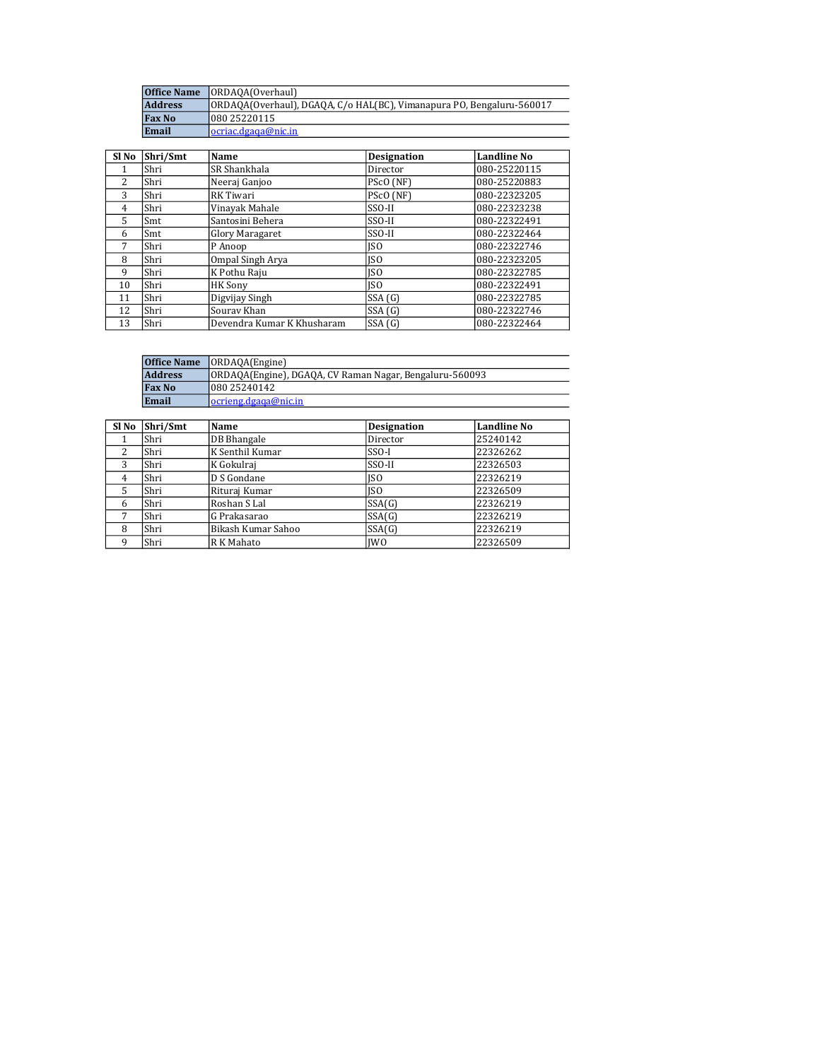| <b>Office Name</b> | ORDAOA(Overhaul)                                                      |
|--------------------|-----------------------------------------------------------------------|
| <b>Address</b>     | ORDAQA(Overhaul), DGAQA, C/o HAL(BC), Vimanapura PO, Bengaluru-560017 |
| <b>Fax No</b>      | 1080 25220115                                                         |
| Email              | locriac.dgada@nic.in                                                  |

| Sl No | Shri/Smt | Name                       | <b>Designation</b> | Landline No  |
|-------|----------|----------------------------|--------------------|--------------|
|       | Shri     | SR Shankhala               | Director           | 080-25220115 |
| 2     | Shri     | Neeraj Ganjoo              | PScO (NF)          | 080-25220883 |
| 3     | Shri     | RK Tiwari                  | PScO (NF)          | 080-22323205 |
| 4     | Shri     | Vinavak Mahale             | SSO-II             | 080-22323238 |
| 5     | Smt      | Santosini Behera           | SSO-II             | 080-22322491 |
| 6     | Smt      | Glory Maragaret            | SSO-II             | 080-22322464 |
| 7     | Shri     | P Anoop                    | <b>ISO</b>         | 080-22322746 |
| 8     | Shri     | Ompal Singh Arya           | <b>ISO</b>         | 080-22323205 |
| 9     | Shri     | K Pothu Raju               | <b>ISO</b>         | 080-22322785 |
| 10    | Shri     | <b>HK Sony</b>             | <b>ISO</b>         | 080-22322491 |
| 11    | Shri     | Digvijay Singh             | SSA(G)             | 080-22322785 |
| 12    | Shri     | Souray Khan                | SSA(G)             | 080-22322746 |
| 13    | Shri     | Devendra Kumar K Khusharam | SSA(G)             | 080-22322464 |

| <b>Office Name</b> | (ORDAQA(Engine)                                         |
|--------------------|---------------------------------------------------------|
| <b>Address</b>     | ORDAQA(Engine), DGAQA, CV Raman Nagar, Bengaluru-560093 |
| <b>Fax No</b>      | 1080 25240142                                           |
| Email              | locrieng.dgaga@nic.in                                   |

| Sl No          | Shri/Smt | Name               | <b>Designation</b> | <b>Landline No</b> |
|----------------|----------|--------------------|--------------------|--------------------|
|                | Shri     | <b>DB</b> Bhangale | Director           | 25240142           |
| $\mathcal{L}$  | Shri     | K Senthil Kumar    | $SSO-I$            | 22326262           |
| 3              | Shri     | K Gokulraj         | SSO-II             | 22326503           |
| $\overline{4}$ | Shri     | D S Gondane        | ISO                | 22326219           |
| 5              | Shri     | Rituraj Kumar      | <b>ISO</b>         | 22326509           |
| 6              | Shri     | Roshan S Lal       | SSA(G)             | 22326219           |
| 7              | Shri     | G Prakasarao       | SSA(G)             | 22326219           |
| 8              | Shri     | Bikash Kumar Sahoo | SSA(G)             | 22326219           |
| 9              | Shri     | R K Mahato         | <b>IWO</b>         | 22326509           |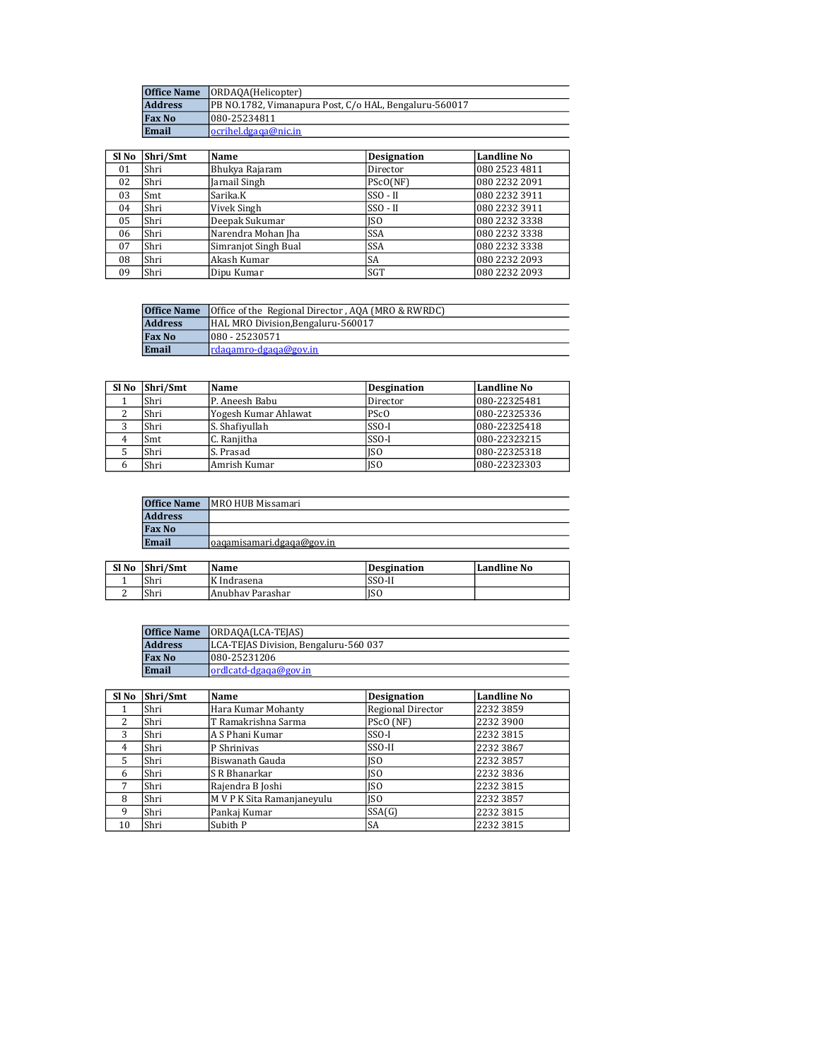|                | <b>Office Name</b>   ORDAOA(Helicopter)                |
|----------------|--------------------------------------------------------|
| <b>Address</b> | PB NO.1782, Vimanapura Post, C/o HAL, Bengaluru-560017 |
| <b>Fax No</b>  | 1080-25234811                                          |
| Email          | locrihel.dgaga@nic.in                                  |

| Sl No | Shri/Smt | Name                 | <b>Designation</b> | <b>Landline No</b> |
|-------|----------|----------------------|--------------------|--------------------|
| 01    | Shri     | Bhukya Rajaram       | Director           | 080 2523 4811      |
| 02    | l Shri   | Jarnail Singh        | PScO(NF)           | 080 2232 2091      |
| 03    | Smt      | Sarika.K             | $SSO - II$         | 080 2232 3911      |
| 04    | Shri     | Vivek Singh          | $SSO - II$         | 080 2232 3911      |
| 05    | Shri     | Deepak Sukumar       | ISO                | 080 2232 3338      |
| 06    | Shri     | Narendra Mohan Jha   | <b>SSA</b>         | 080 2232 3338      |
| 07    | Shri     | Simranjot Singh Bual | <b>SSA</b>         | 080 2232 3338      |
| 08    | Shri     | Akash Kumar          | <b>SA</b>          | 080 2232 2093      |
| 09    | Shri     | Dipu Kumar           | <b>SGT</b>         | 080 2232 2093      |

|                | <b>Office Name</b> Office of the Regional Director, AQA (MRO & RWRDC) |
|----------------|-----------------------------------------------------------------------|
| <b>Address</b> | HAL MRO Division, Bengaluru-560017                                    |
| <b>Fax No</b>  | $1080 - 25230571$                                                     |
| Email          | Irdagamro-dgaga@goy.in                                                |

| $SI$ No $\left  \text{Shri}/\text{Smt} \right $ | Name                 | <b>Desgination</b> | <b>Landline No</b> |
|-------------------------------------------------|----------------------|--------------------|--------------------|
| Shri                                            | P. Aneesh Babu       | Director           | 080-22325481       |
| Shri                                            | Yogesh Kumar Ahlawat | PS <sub>c</sub> O  | 080-22325336       |
| Shri                                            | S. Shafivullah       | $SSO-I$            | 080-22325418       |
| Smt                                             | C. Raniitha          | $SSO-I$            | 080-22323215       |
| Shri                                            | S. Prasad            | <b>ISO</b>         | 080-22325318       |
| Shri                                            | Amrish Kumar         | <b>ISO</b>         | 080-22323303       |

| <b>Office Name</b> | MRO HUB Missamari         |
|--------------------|---------------------------|
| <b>Address</b>     |                           |
| <b>Fax No</b>      |                           |
| Email              | oagamisamari.dgaga@gov.in |
|                    |                           |

| Sl No | Shri/Smt | <b>Name</b>      | Desgination | Landline No |
|-------|----------|------------------|-------------|-------------|
|       | Shri     | K Indrasena      | SSO-II      |             |
| ∼     | 'Shri    | Anubhay Parashar | <b>ISO</b>  |             |

|                | <b>Office Name ORDAOA(LCA-TEJAS)</b>  |
|----------------|---------------------------------------|
| <b>Address</b> | LCA-TEJAS Division, Bengaluru-560 037 |
| <b>Fax No</b>  | 1080-25231206                         |
| Email          | $ $ ordicatd-dgaga@gov.in             |

| Sl No          | Shri/Smt | Name                       | <b>Designation</b> | Landline No |
|----------------|----------|----------------------------|--------------------|-------------|
|                | Shri     | Hara Kumar Mohanty         | Regional Director  | 2232 3859   |
| 2              | Shri     | T Ramakrishna Sarma        | PScO (NF)          | 2232 3900   |
| 3              | Shri     | A S Phani Kumar            | $SSO-I$            | 2232 3815   |
| $\overline{4}$ | Shri     | P Shriniyas                | SSO-II             | 2232 3867   |
| 5              | Shri     | Biswanath Gauda            | <b>ISO</b>         | 2232 3857   |
| 6              | Shri     | S R Bhanarkar              | ISO                | 2232 3836   |
| 7              | Shri     | Rajendra B Joshi           | <b>ISO</b>         | 2232 3815   |
| 8              | Shri     | M V P K Sita Ramanjaneyulu | <b>ISO</b>         | 2232 3857   |
| 9              | Shri     | Pankaj Kumar               | SSA(G)             | 2232 3815   |
| 10             | Shri     | Subith P                   | SA                 | 2232 3815   |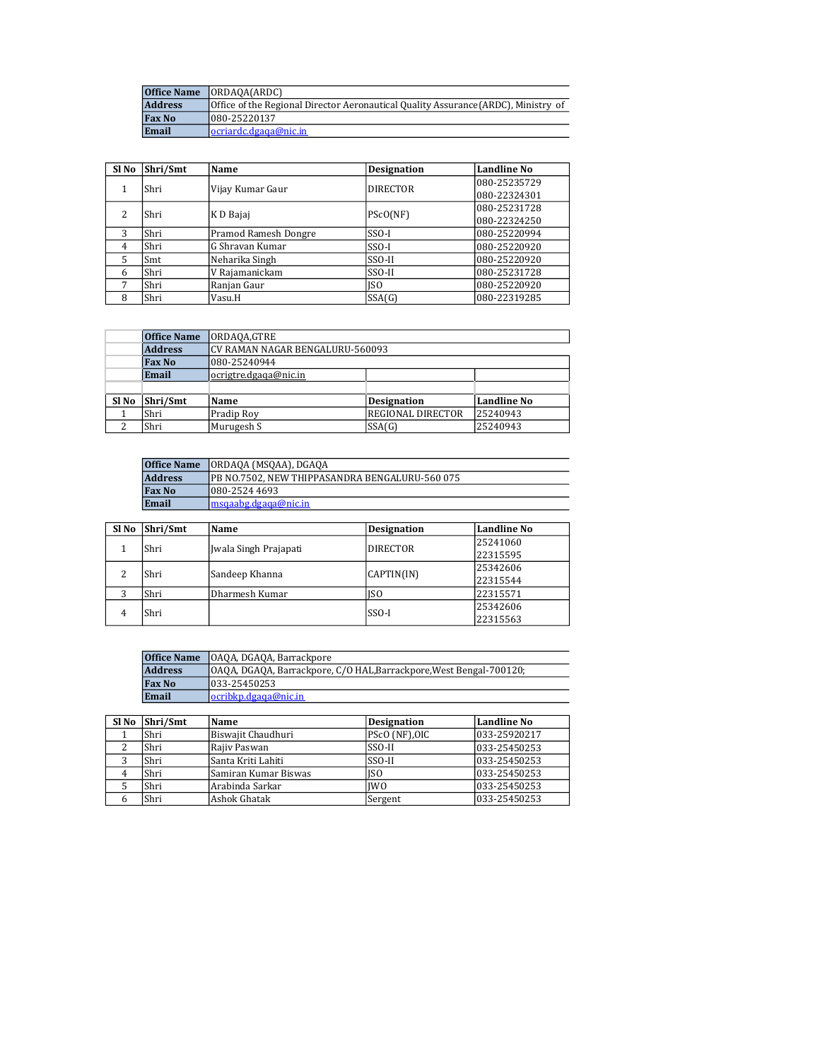| <b>Office Name</b> | IORDAOA(ARDC)                                                                      |
|--------------------|------------------------------------------------------------------------------------|
| <b>Address</b>     | Office of the Regional Director Aeronautical Quality Assurance (ARDC), Ministry of |
| <b>Fax No</b>      | 080-25220137                                                                       |
| Email              | locriardc.dgaqa@nic.in                                                             |

| Sl No          | Shri/Smt | Name                 | <b>Designation</b> | <b>Landline No</b> |
|----------------|----------|----------------------|--------------------|--------------------|
|                | Shri     | Vijay Kumar Gaur     | <b>DIRECTOR</b>    | 080-25235729       |
|                |          |                      |                    | 080-22324301       |
| 2              | Shri     | K D Bajaj            | PScO(NF)           | 080-25231728       |
|                |          |                      |                    | 080-22324250       |
| 3              | Shri     | Pramod Ramesh Dongre | $SSO-I$            | 080-25220994       |
| $\overline{4}$ | Shri     | G Shravan Kumar      | $SSO-I$            | 080-25220920       |
| 5              | Smt      | Neharika Singh       | SSO-II             | 080-25220920       |
| 6              | Shri     | V Rajamanickam       | SSO-II             | 080-25231728       |
| 7              | Shri     | Ranjan Gaur          | ISO                | 080-25220920       |
| 8              | Shri     | Vasu.H               | SSA(G)             | 080-22319285       |

|       | <b>Office Name</b> | ORDAQA,GTRE                     |                          |             |
|-------|--------------------|---------------------------------|--------------------------|-------------|
|       | <b>Address</b>     | CV RAMAN NAGAR BENGALURU-560093 |                          |             |
|       | <b>Fax No</b>      | 080-25240944                    |                          |             |
|       | Email              | ocrigtre.dgaga@nic.in           |                          |             |
|       |                    |                                 |                          |             |
| Sl No | Shri/Smt           | Name                            | <b>Designation</b>       | Landline No |
|       | Shri               | Pradip Roy                      | <b>REGIONAL DIRECTOR</b> | 25240943    |
|       | Shri               | Murugesh S                      | SSA(G)                   | 25240943    |

| <b>Office Name</b> | ORDAQA (MSQAA), DGAQA                           |
|--------------------|-------------------------------------------------|
| <b>Address</b>     | IPB NO.7502. NEW THIPPASANDRA BENGALURU-560 075 |
| <b>Fax No</b>      | 1080-2524 4693                                  |
| Email              | lmsgaabg.dgaga@nic.in                           |

| Sl No | Shri/Smt | Name                  | <b>Designation</b> | <b>Landline No</b> |
|-------|----------|-----------------------|--------------------|--------------------|
|       | Shri     | Jwala Singh Prajapati | <b>DIRECTOR</b>    | 25241060           |
|       |          |                       |                    | 22315595           |
| າ     | Shri     | Sandeep Khanna        | CAPTIN(IN)         | 25342606           |
|       |          |                       |                    | 22315544           |
| ာ     | Shri     | Dharmesh Kumar        | ISO                | 22315571           |
|       | Shri     |                       | SSO-I              | 25342606           |
| 4     |          |                       |                    | 22315563           |

| <b>Office Name</b> | OAQA, DGAQA, Barrackpore                                          |             |                                   |
|--------------------|-------------------------------------------------------------------|-------------|-----------------------------------|
| <b>Address</b>     | OAQA, DGAQA, Barrackpore, C/O HAL,Barrackpore,West Bengal-700120; |             |                                   |
| <b>Fax No</b>      | 1033-25450253                                                     |             |                                   |
| Email              | ocribkp.dgaga@nic.in                                              |             |                                   |
|                    |                                                                   |             |                                   |
| $ C  =  C $        | $N_{\rm max}$                                                     | Designation | $I \sim$ and $I \sim \sim N \sim$ |

| $S1$ No $\overline{\text{Shri}}/\text{Smt}$ | Name                 | <b>Designation</b> | Landline No  |
|---------------------------------------------|----------------------|--------------------|--------------|
| Shri                                        | Biswajit Chaudhuri   | PScO (NF),OIC      | 033-25920217 |
| Shri                                        | Raiiv Paswan         | SSO-II             | 033-25450253 |
| Shri                                        | Santa Kriti Lahiti   | SSO-II             | 033-25450253 |
| Shri                                        | Samiran Kumar Biswas | ISO                | 033-25450253 |
| Shri                                        | Arabinda Sarkar      | <b>IWO</b>         | 033-25450253 |
| Shri                                        | Ashok Ghatak         | Sergent            | 033-25450253 |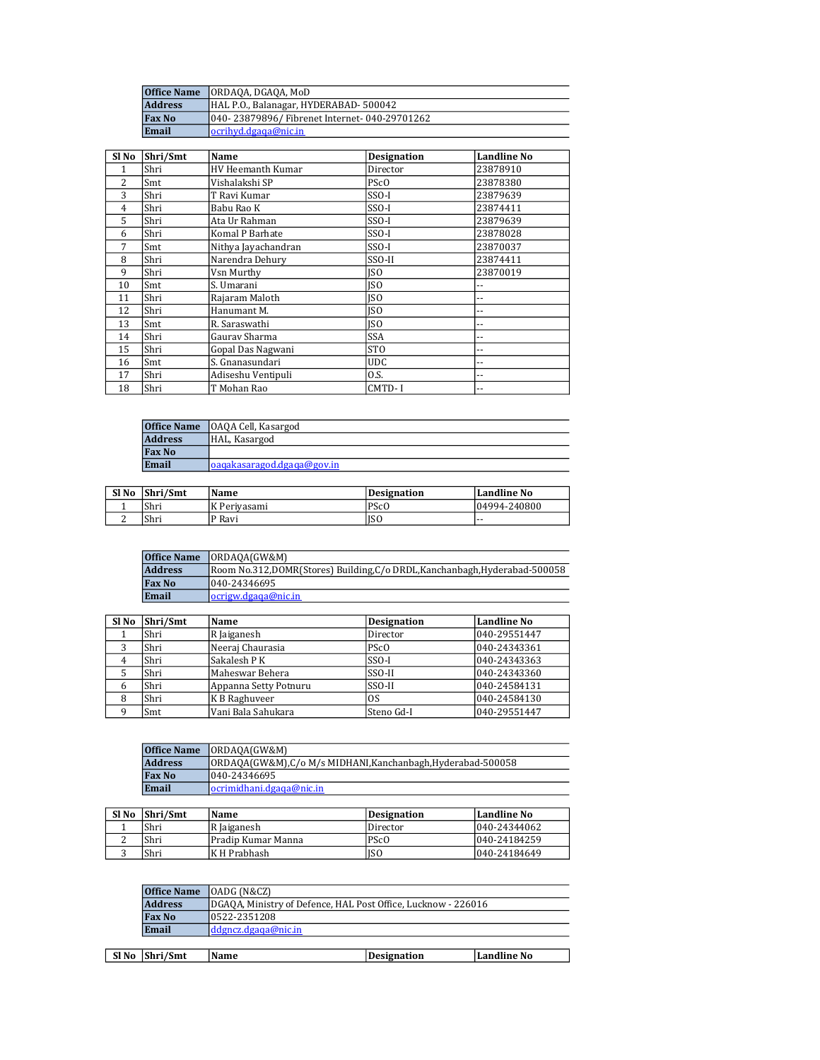| <b>Office Name</b> | JORDAOA, DGAOA, MoD                            |
|--------------------|------------------------------------------------|
| <b>Address</b>     | HAL P.O., Balanagar, HYDERABAD-500042          |
| <b>Fax No</b>      | 040- 23879896/ Fibrenet Internet- 040-29701262 |
| Email              | locrihyd.dgaga@nic.in                          |

| Sl No | Shri/Smt | Name                     | <b>Designation</b> | <b>Landline No</b> |
|-------|----------|--------------------------|--------------------|--------------------|
| 1     | Shri     | <b>HV Heemanth Kumar</b> | Director           | 23878910           |
| 2     | Smt      | Vishalakshi SP           | PS <sub>c</sub> O  | 23878380           |
| 3     | Shri     | T Ravi Kumar             | $SSO-I$            | 23879639           |
| 4     | Shri     | Babu Rao K               | SSO-I              | 23874411           |
| 5     | Shri     | Ata Ur Rahman            | SSO-I              | 23879639           |
| 6     | Shri     | Komal P Barhate          | $SSO-I$            | 23878028           |
| 7     | Smt      | Nithya Jayachandran      | $SSO-I$            | 23870037           |
| 8     | Shri     | Narendra Dehury          | SSO-II             | 23874411           |
| 9     | Shri     | Vsn Murthy               | ISO                | 23870019           |
| 10    | Smt      | S. Umarani               | ISO                | --                 |
| 11    | Shri     | Rajaram Maloth           | <b>ISO</b>         | --                 |
| 12    | Shri     | Hanumant M.              | <b>ISO</b>         | --                 |
| 13    | Smt      | R. Saraswathi            | ISO                | --                 |
| 14    | Shri     | Gaurav Sharma            | <b>SSA</b>         | ٠.                 |
| 15    | Shri     | Gopal Das Nagwani        | <b>STO</b>         | ٠.                 |
| 16    | Smt      | S. Gnanasundari          | <b>UDC</b>         | --                 |
| 17    | Shri     | Adiseshu Ventipuli       | 0.S.               | --                 |
| 18    | Shri     | T Mohan Rao              | CMTD-I             | --                 |

| <b>Office Name</b> | OAQA Cell, Kasargod         |
|--------------------|-----------------------------|
| <b>Address</b>     | HAL, Kasargod               |
| <b>Fax No</b>      |                             |
| Email              | loagakasaragod.dgaga@goy.in |

| Sl No | Shri/Smt | Name         | Designation       | Landline No  |
|-------|----------|--------------|-------------------|--------------|
|       | 'Shri    | K Perivasami | PS <sub>c</sub> O | 04994-240800 |
| ∼     | Shri     | P Ravi       | ISO               | .            |

| <b>Office Name</b> | IORDAOA(GW&M)                                                           |
|--------------------|-------------------------------------------------------------------------|
| <b>Address</b>     | Room No.312,DOMR(Stores) Building,C/o DRDL,Kanchanbagh,Hyderabad-500058 |
| <b>Fax No</b>      | 040-24346695                                                            |
| Email              | locrigw.dgaga@nic.in                                                    |

| Sl No | Shri/Smt | Name                  | <b>Designation</b> | Landline No  |
|-------|----------|-----------------------|--------------------|--------------|
|       | Shri     | R Jaiganesh           | Director           | 040-29551447 |
| 3     | Shri     | Neeraj Chaurasia      | PS <sub>c</sub> O  | 040-24343361 |
| 4     | Shri     | Sakalesh P K          | $SSO-I$            | 040-24343363 |
|       | Shri     | Maheswar Behera       | SSO-II             | 040-24343360 |
| 6     | Shri     | Appanna Setty Potnuru | SSO-II             | 040-24584131 |
| 8     | Shri     | K B Raghuveer         | 0S                 | 040-24584130 |
|       | Smt      | Vani Bala Sahukara    | Steno Gd-I         | 040-29551447 |

|                | <b>Office Name ORDAOA(GW&amp;M)</b>                          |
|----------------|--------------------------------------------------------------|
| <b>Address</b> | ORDAOA(GW&M), C/o M/s MIDHANI, Kanchanbagh, Hyderabad-500058 |
| <b>Fax No</b>  | 1040-24346695                                                |
| Email          | locrimidhani.dgaga@nic.in                                    |

| Sl <sub>No</sub> | Shri/Smt | Name               | Designation       | Landline No   |
|------------------|----------|--------------------|-------------------|---------------|
|                  | Shri     | R Jaiganesh        | ı Director        | 1040-24344062 |
|                  | Shri     | Pradip Kumar Manna | PS <sub>c</sub> O | 040-24184259  |
|                  | Shri     | K H Prabhash       | <b>JSO</b>        | 040-24184649  |

|       | Office Name    | [OADG (N&CZ)]                                                 |             |             |  |  |
|-------|----------------|---------------------------------------------------------------|-------------|-------------|--|--|
|       | <b>Address</b> | DGAQA, Ministry of Defence, HAL Post Office, Lucknow - 226016 |             |             |  |  |
|       | <b>Fax No</b>  | 10522-2351208                                                 |             |             |  |  |
|       | Email          | ddgncz.dgaga@nic.in                                           |             |             |  |  |
|       |                |                                                               |             |             |  |  |
| Sl No | Shri/Smt       | Name                                                          | Designation | Landline No |  |  |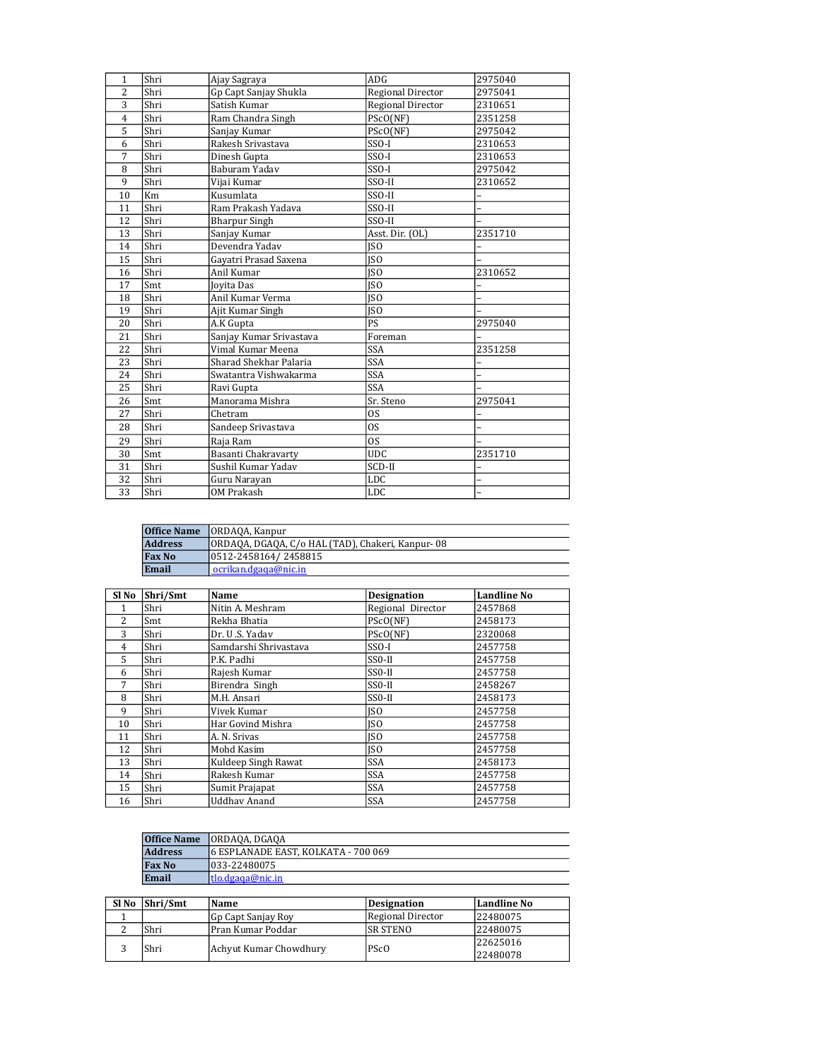| 1              | Shri | Ajay Sagraya            | ADG                      | 2975040 |
|----------------|------|-------------------------|--------------------------|---------|
| 2              | Shri | Gp Capt Sanjay Shukla   | Regional Director        | 2975041 |
| 3              | Shri | Satish Kumar            | <b>Regional Director</b> | 2310651 |
| $\overline{4}$ | Shri | Ram Chandra Singh       | PScO(NF)                 | 2351258 |
| 5              | Shri | Sanjay Kumar            | PScO(NF)                 | 2975042 |
| 6              | Shri | Rakesh Srivastava       | $SSO-I$                  | 2310653 |
| 7              | Shri | Dinesh Gupta            | $SSO-I$                  | 2310653 |
| 8              | Shri | Baburam Yadav           | $SSO-I$                  | 2975042 |
| 9              | Shri | Vijai Kumar             | SSO-II                   | 2310652 |
| 10             | Km   | Kusumlata               | SSO-II                   |         |
| 11             | Shri | Ram Prakash Yadava      | SSO-II                   |         |
| 12             | Shri | <b>Bharpur Singh</b>    | SSO-II                   |         |
| 13             | Shri | Sanjay Kumar            | Asst. Dir. (OL)          | 2351710 |
| 14             | Shri | Devendra Yadav          | <b>ISO</b>               |         |
| 15             | Shri | Gayatri Prasad Saxena   | JSO                      |         |
| 16             | Shri | Anil Kumar              | $\overline{ISO}$         | 2310652 |
| 17             | Smt  | Joyita Das              | <b>ISO</b>               |         |
| 18             | Shri | Anil Kumar Verma        | <b>ISO</b>               |         |
| 19             | Shri | Ajit Kumar Singh        | <b>ISO</b>               |         |
| 20             | Shri | A.K Gupta               | PS                       | 2975040 |
| 21             | Shri | Sanjay Kumar Srivastava | Foreman                  |         |
| 22             | Shri | Vimal Kumar Meena       | <b>SSA</b>               | 2351258 |
| 23             | Shri | Sharad Shekhar Palaria  | <b>SSA</b>               |         |
| 24             | Shri | Swatantra Vishwakarma   | <b>SSA</b>               |         |
| 25             | Shri | Ravi Gupta              | <b>SSA</b>               |         |
| 26             | Smt  | Manorama Mishra         | Sr. Steno                | 2975041 |
| 27             | Shri | Chetram                 | <b>OS</b>                |         |
| 28             | Shri | Sandeep Srivastava      | <sub>OS</sub>            |         |
| 29             | Shri | Raja Ram                | <b>OS</b>                |         |
| 30             | Smt  | Basanti Chakravarty     | <b>UDC</b>               | 2351710 |
| 31             | Shri | Sushil Kumar Yadav      | SCD-II                   |         |
| 32             | Shri | Guru Narayan            | LDC                      |         |
| 33             | Shri | <b>OM Prakash</b>       | <b>LDC</b>               |         |

|                | <b>Office Name</b>   ORDAQA, Kanpur              |
|----------------|--------------------------------------------------|
| <b>Address</b> | ORDAQA, DGAQA, C/o HAL (TAD), Chakeri, Kanpur-08 |
| <b>Fax No</b>  | 0512-2458164/2458815                             |
| Email          | ocrikan.dgaga@nic.in                             |

| Sl No          | Shri/Smt | Name                  | <b>Designation</b>  | <b>Landline No</b> |
|----------------|----------|-----------------------|---------------------|--------------------|
| 1              | Shri     | Nitin A. Meshram      | Regional Director   | 2457868            |
| $\overline{2}$ | Smt      | Rekha Bhatia          | PScO(NF)            | 2458173            |
| 3              | Shri     | Dr. U.S. Yadav        | PScO(NF)            | 2320068            |
| 4              | Shri     | Samdarshi Shrivastava | SSO-I               | 2457758            |
| 5              | Shri     | P.K. Padhi            | $SSO-II$            | 2457758            |
| 6              | Shri     | Rajesh Kumar          | $SSO-II$            | 2457758            |
| 7              | Shri     | Birendra Singh        | SS0-II              | 2458267            |
| 8              | Shri     | M.H. Ansari           | SS <sub>0</sub> -II | 2458173            |
| 9              | Shri     | Vivek Kumar           | <b>ISO</b>          | 2457758            |
| 10             | Shri     | Har Govind Mishra     | <b>ISO</b>          | 2457758            |
| 11             | Shri     | A. N. Srivas          | <b>ISO</b>          | 2457758            |
| 12             | Shri     | Mohd Kasim            | <b>ISO</b>          | 2457758            |
| 13             | Shri     | Kuldeep Singh Rawat   | <b>SSA</b>          | 2458173            |
| 14             | Shri     | Rakesh Kumar          | <b>SSA</b>          | 2457758            |
| 15             | Shri     | Sumit Prajapat        | <b>SSA</b>          | 2457758            |
| 16             | Shri     | Uddhav Anand          | SSA                 | 2457758            |

| <b>Office Name</b> | JORDAQA, DGAQA                       |
|--------------------|--------------------------------------|
| <b>Address</b>     | 16 ESPLANADE EAST. KOLKATA - 700 069 |
| <b>Fax No</b>      | 033-22480075                         |
| Email              | ltlo.dgaga@nic.in_                   |

| Sl No | Shri/Smt | Name                   | Designation              | Landline No |
|-------|----------|------------------------|--------------------------|-------------|
|       |          | Gp Capt Sanjay Roy     | <b>Regional Director</b> | 22480075    |
|       | Shri     | Pran Kumar Poddar      | ISR STENO                | 22480075    |
|       | Shri     | Achyut Kumar Chowdhury | <b>PScO</b>              | 22625016    |
|       |          |                        |                          | 22480078    |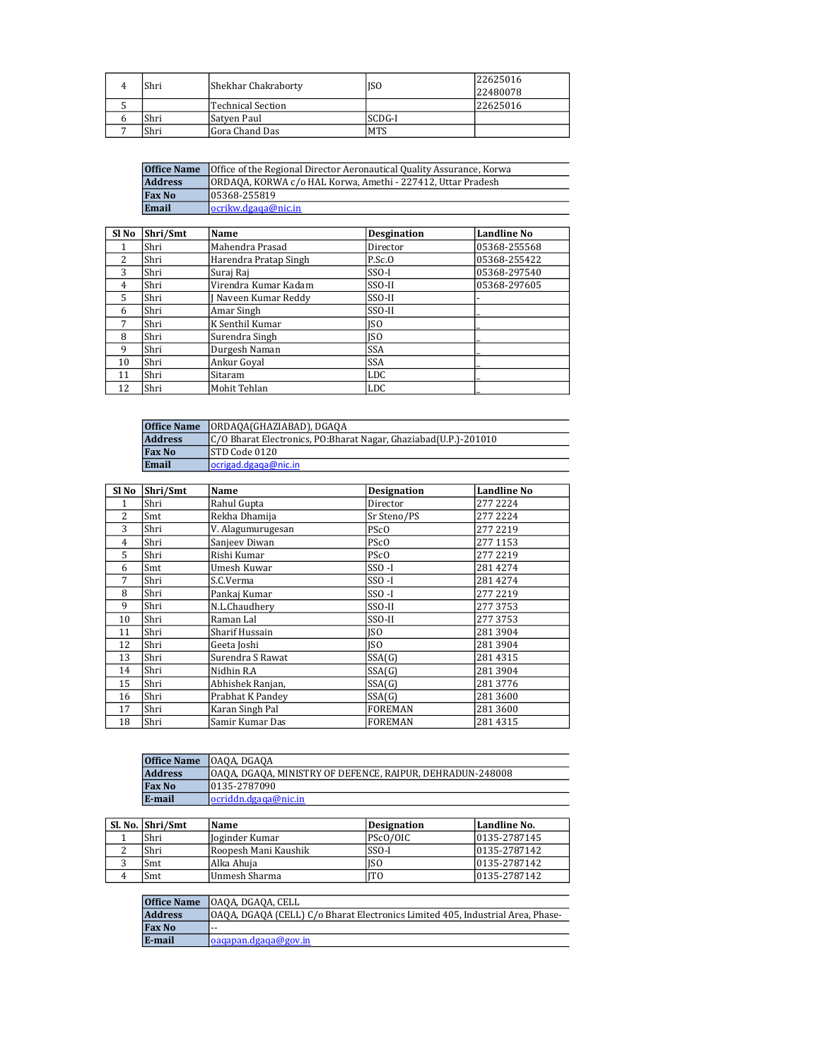|  | Shri | Shekhar Chakraborty | <b>ISO</b> | 22625016 |
|--|------|---------------------|------------|----------|
|  |      |                     |            | 22480078 |
|  |      | lTechnical Section  |            | 22625016 |
|  | Shri | Satven Paul         | SCDG-I     |          |
|  | Shri | Gora Chand Das      | <b>MTS</b> |          |

| <b>Office of the Regional Director Aeronautical Quality Assurance, Korwa</b><br><b>Office Name</b> |                                                             |
|----------------------------------------------------------------------------------------------------|-------------------------------------------------------------|
| <b>Address</b>                                                                                     | ORDAQA, KORWA c/o HAL Korwa, Amethi - 227412, Uttar Pradesh |
| <b>Fax No</b>                                                                                      | 105368-255819                                               |
| Email                                                                                              | locrikw.deaaa@nic.in                                        |

| SI <sub>No</sub> | Shri/Smt | Name                  | <b>Desgination</b> | <b>Landline No</b> |
|------------------|----------|-----------------------|--------------------|--------------------|
|                  | Shri     | Mahendra Prasad       | Director           | 05368-255568       |
| 2                | Shri     | Harendra Pratap Singh | P.Sc.0             | 05368-255422       |
| 3                | Shri     | Suraj Raj             | $SSO-I$            | 05368-297540       |
| 4                | Shri     | Virendra Kumar Kadam  | SSO-II             | 05368-297605       |
| 5.               | Shri     | J Naveen Kumar Reddy  | SSO-II             |                    |
| 6                | Shri     | Amar Singh            | SSO-II             |                    |
| 7                | Shri     | K Senthil Kumar       | ISO                |                    |
| 8                | Shri     | Surendra Singh        | ISO                |                    |
| 9                | Shri     | Durgesh Naman         | <b>SSA</b>         |                    |
| 10               | Shri     | Ankur Goyal           | <b>SSA</b>         |                    |
| 11               | Shri     | Sitaram               | <b>LDC</b>         |                    |
| 12               | Shri     | Mohit Tehlan          | <b>LDC</b>         |                    |

| <b>Office Name</b> | ORDAQA(GHAZIABAD), DGAQA                                        |
|--------------------|-----------------------------------------------------------------|
| <b>Address</b>     | C/O Bharat Electronics, PO:Bharat Nagar, Ghaziabad(U.P.)-201010 |
| <b>Fax No</b>      | ISTD Code 0120                                                  |
| Email              | ocrigad.dgaga@nic.in                                            |

| Sl No          | Shri/Smt | Name              | <b>Designation</b> | <b>Landline No</b> |
|----------------|----------|-------------------|--------------------|--------------------|
| 1              | Shri     | Rahul Gupta       | Director           | 277 2224           |
| 2              | Smt      | Rekha Dhamija     | Sr Steno/PS        | 277 2224           |
| 3              | Shri     | V. Alagumurugesan | PSc <sub>O</sub>   | 277 2219           |
| $\overline{4}$ | Shri     | Sanjeev Diwan     | PS <sub>c</sub> O  | 277 1153           |
| 5              | Shri     | Rishi Kumar       | PS <sub>c</sub> O  | 277 2219           |
| 6              | Smt      | Umesh Kuwar       | $SSO-I$            | 281 4274           |
| 7              | Shri     | S.C.Verma         | $SSO-I$            | 2814274            |
| 8              | Shri     | Pankaj Kumar      | $SSO-I$            | 277 2219           |
| 9              | Shri     | N.L.Chaudhery     | SSO-II             | 2773753            |
| 10             | Shri     | Raman Lal         | SSO-II             | 2773753            |
| 11             | Shri     | Sharif Hussain    | <b>ISO</b>         | 2813904            |
| 12             | Shri     | Geeta Joshi       | ISO                | 281 3904           |
| 13             | Shri     | Surendra S Rawat  | SSA(G)             | 2814315            |
| 14             | Shri     | Nidhin R.A        | SSA(G)             | 281 3904           |
| 15             | Shri     | Abhishek Ranjan,  | SSA(G)             | 2813776            |
| 16             | Shri     | Prabhat K Pandey  | SSA(G)             | 281 3600           |
| 17             | Shri     | Karan Singh Pal   | <b>FOREMAN</b>     | 281 3600           |
| 18             | Shri     | Samir Kumar Das   | <b>FOREMAN</b>     | 2814315            |

|                | <b>Office Name</b>   OAOA, DGAOA                           |
|----------------|------------------------------------------------------------|
| <b>Address</b> | JOAOA, DGAOA, MINISTRY OF DEFENCE, RAIPUR, DEHRADUN-248008 |
| <b>Fax No</b>  | 10135-2787090                                              |
| E-mail         | locriddn.dgaga@nic.in                                      |

|  | Sl. No. Shri/Smt | Name                 | Designation | Landline No.  |
|--|------------------|----------------------|-------------|---------------|
|  | Shri             | Hoginder Kumar       | PScO/OIC    | 10135-2787145 |
|  | Shri             | Roopesh Mani Kaushik | $SSO-I$     | 0135-2787142  |
|  | Smt              | Alka Ahuia           | ISO         | 0135-2787142  |
|  | Smt              | Unmesh Sharma        | <b>ITO</b>  | 0135-2787142  |

| <b>Office Name</b> | JOAOA, DGAOA, CELL                                                             |
|--------------------|--------------------------------------------------------------------------------|
| <b>Address</b>     | OAQA, DGAQA (CELL) C/o Bharat Electronics Limited 405, Industrial Area, Phase- |
| <b>Fax No</b>      | $- -$                                                                          |
| E-mail             | $\alpha$ qapan.dgaqa@gov.in                                                    |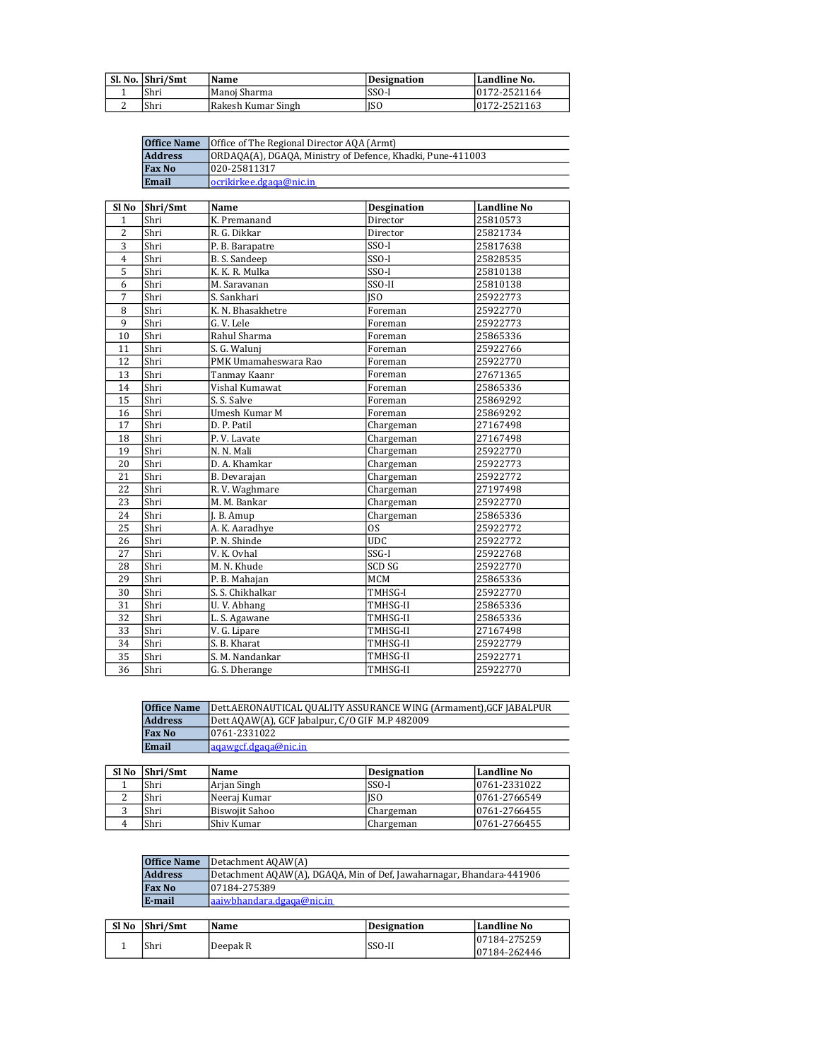|   | Sl. No. Shri/Smt | Name               | Designation | Landline No. |
|---|------------------|--------------------|-------------|--------------|
|   | Shri             | Manoi Sharma       | SSO-I       | 0172-2521164 |
| ∼ | Shri             | Rakesh Kumar Singh | 'ISO        | 0172-2521163 |

| <b>Office Name</b> | Office of The Regional Director AQA (Armt)                 |
|--------------------|------------------------------------------------------------|
| <b>Address</b>     | ORDAQA(A), DGAQA, Ministry of Defence, Khadki, Pune-411003 |
| <b>Fax No</b>      | 1020-25811317                                              |
| Email              | locrikirkee.dgaga@nic.in_                                  |

| Sl No          | Shri/Smt | Name                 | <b>Desgination</b> | <b>Landline No</b> |
|----------------|----------|----------------------|--------------------|--------------------|
| $\mathbf{1}$   | Shri     | K. Premanand         | Director           | 25810573           |
| $\overline{2}$ | Shri     | R. G. Dikkar         | Director           | 25821734           |
| 3              | Shri     | P. B. Barapatre      | $SSO-I$            | 25817638           |
| $\overline{4}$ | Shri     | B. S. Sandeep        | SSO-I              | 25828535           |
| 5              | Shri     | K. K. R. Mulka       | SSO-I              | 25810138           |
| 6              | Shri     | M. Saravanan         | SSO-II             | 25810138           |
| $\overline{7}$ | Shri     | S. Sankhari          | <b>ISO</b>         | 25922773           |
| 8              | Shri     | K. N. Bhasakhetre    | Foreman            | 25922770           |
| 9              | Shri     | G.V. Lele            | Foreman            | 25922773           |
| 10             | Shri     | Rahul Sharma         | Foreman            | 25865336           |
| 11             | Shri     | S. G. Walunj         | Foreman            | 25922766           |
| 12             | Shri     | PMK Umamaheswara Rao | Foreman            | 25922770           |
| 13             | Shri     | Tanmay Kaanr         | Foreman            | 27671365           |
| 14             | Shri     | Vishal Kumawat       | Foreman            | 25865336           |
| 15             | Shri     | S. S. Salve          | Foreman            | 25869292           |
| 16             | Shri     | Umesh Kumar M        | Foreman            | 25869292           |
| 17             | Shri     | D. P. Patil          | Chargeman          | 27167498           |
| 18             | Shri     | P.V. Lavate          | Chargeman          | 27167498           |
| 19             | Shri     | N. N. Mali           | Chargeman          | 25922770           |
| 20             | Shri     | D. A. Khamkar        | Chargeman          | 25922773           |
| 21             | Shri     | B. Devarajan         | Chargeman          | 25922772           |
| 22             | Shri     | R.V. Waghmare        | Chargeman          | 27197498           |
| 23             | Shri     | M. M. Bankar         | Chargeman          | 25922770           |
| 24             | Shri     | J. B. Amup           | Chargeman          | 25865336           |
| 25             | Shri     | A. K. Aaradhye       | OS.                | 25922772           |
| 26             | Shri     | P. N. Shinde         | <b>UDC</b>         | 25922772           |
| 27             | Shri     | V. K. Ovhal          | SSG-I              | 25922768           |
| 28             | Shri     | M. N. Khude          | SCD SG             | 25922770           |
| 29             | Shri     | P. B. Mahajan        | MCM                | 25865336           |
| 30             | Shri     | S. S. Chikhalkar     | TMHSG-I            | 25922770           |
| 31             | Shri     | U.V. Abhang          | TMHSG-II           | 25865336           |
| 32             | Shri     | L. S. Agawane        | TMHSG-II           | 25865336           |
| 33             | Shri     | V. G. Lipare         | TMHSG-II           | 27167498           |
| 34             | Shri     | S. B. Kharat         | TMHSG-II           | 25922779           |
| 35             | Shri     | S. M. Nandankar      | TMHSG-II           | 25922771           |
| 36             | Shri     | G. S. Dherange       | TMHSG-II           | 25922770           |

| <b>Office Name</b> | Dett.AERONAUTICAL QUALITY ASSURANCE WING (Armament), GCF JABALPUR |
|--------------------|-------------------------------------------------------------------|
| <b>Address</b>     | Dett AQAW(A), GCF Jabalpur, C/O GIF M.P 482009                    |
| <b>Fax No</b>      | 10761-2331022                                                     |
| Email              | laaawecf.deaaa@nic.in                                             |

| SI No Shri/Smt | Name           | Designation     | Landline No   |
|----------------|----------------|-----------------|---------------|
| Shri           | Arjan Singh    | SSO-I           | 0761-2331022  |
| Shri           | Neerai Kumar   | IS <sub>0</sub> | 0761-2766549  |
| Shri           | Biswojit Sahoo | Chargeman       | 0761-2766455  |
| Shri           | Shiv Kumar     | Chargeman       | 10761-2766455 |

| <b>Office Name</b> | Detachment AQAW(A)                                                   |
|--------------------|----------------------------------------------------------------------|
| <b>Address</b>     | Detachment AQAW(A), DGAQA, Min of Def, Jawaharnagar, Bhandara-441906 |
| <b>Fax No</b>      | 107184-275389                                                        |
| E-mail             | aaiwbhandara.dgaga@nic.in                                            |

| Sl No | Shri/Smt | Name     | <b>Designation</b> | Landline No  |
|-------|----------|----------|--------------------|--------------|
|       | Shri     | Deepak R | SSO-II             | 07184-275259 |
|       |          |          |                    | 07184-262446 |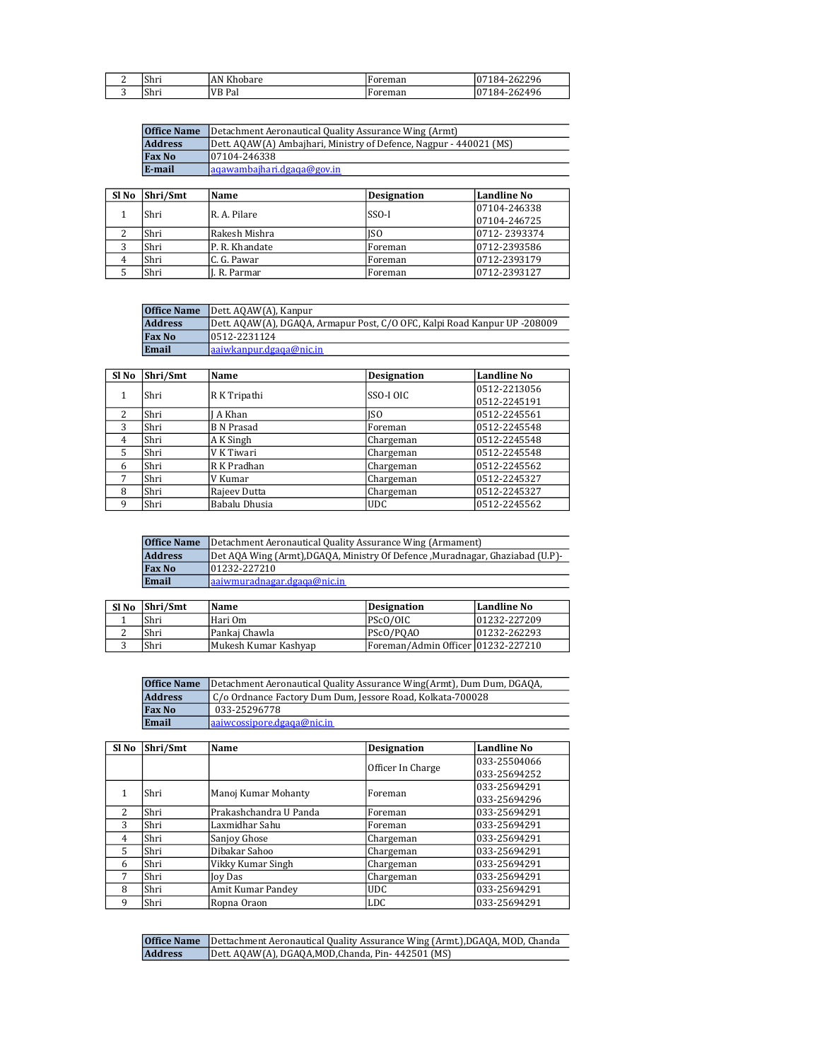| - | Shri | AN K'<br>Khobare | reman<br><b>∵∪⊥</b> | 2296<br>0<br>゚゙゚゚゚゚゚<br>яΔ-<br>10 I |
|---|------|------------------|---------------------|-------------------------------------|
| ັ | Shri | <b>VB</b> Pal    | ™eman<br>נטי        | 262496<br>0<br>яΔ-                  |

| <b>Office Name</b> | Detachment Aeronautical Quality Assurance Wing (Armt)              |
|--------------------|--------------------------------------------------------------------|
| <b>Address</b>     | Dett. AQAW(A) Ambajhari, Ministry of Defence, Nagpur - 440021 (MS) |
| <b>Fax No</b>      | 07104-246338                                                       |
| E-mail             | lagawambaihari.dgaga@goy.in                                        |

| Sl No | Shri/Smt | Name           | <b>Designation</b> | <b>Landline No</b> |
|-------|----------|----------------|--------------------|--------------------|
|       |          |                |                    | 07104-246338       |
|       | Shri     | IR. A. Pilare  | $SSO-I$            | 07104-246725       |
|       | Shri     | Rakesh Mishra  | <b>ISO</b>         | 0712-2393374       |
|       | Shri     | P. R. Khandate | Foreman            | 0712-2393586       |
|       | Shri     | C. G. Pawar    | Foreman            | 0712-2393179       |
|       | Shri     | I. R. Parmar   | Foreman            | 0712-2393127       |

| <b>Office Name</b> | Dett. AQAW(A), Kanpur                                                     |
|--------------------|---------------------------------------------------------------------------|
| <b>Address</b>     | Dett. AQAW(A), DGAQA, Armapur Post, C/O OFC, Kalpi Road Kanpur UP -208009 |
| <b>Fax No</b>      | 10512-2231124                                                             |
| Email              | aaiwkanpur.dgaga@nic.in                                                   |

| Sl No | Shri/Smt | Name              | <b>Designation</b> | Landline No  |
|-------|----------|-------------------|--------------------|--------------|
|       |          | R K Tripathi      | SSO-I OIC          | 0512-2213056 |
|       | Shri     |                   |                    | 0512-2245191 |
| 2     | Shri     | A Khan            | ISO                | 0512-2245561 |
| 3     | Shri     | <b>B</b> N Prasad | Foreman            | 0512-2245548 |
| 4     | Shri     | A K Singh         | Chargeman          | 0512-2245548 |
| 5     | Shri     | V K Tiwari        | Chargeman          | 0512-2245548 |
| 6     | Shri     | R K Pradhan       | Chargeman          | 0512-2245562 |
| 7     | Shri     | V Kumar           | Chargeman          | 0512-2245327 |
| 8     | Shri     | Rajeev Dutta      | Chargeman          | 0512-2245327 |
| 9     | Shri     | Babalu Dhusia     | <b>UDC</b>         | 0512-2245562 |

| <b>Office Name</b>                                                                               | Detachment Aeronautical Quality Assurance Wing (Armament) |  |  |
|--------------------------------------------------------------------------------------------------|-----------------------------------------------------------|--|--|
| <b>Address</b><br>[Det AQA Wing (Armt), DGAQA, Ministry Of Defence, Muradnagar, Ghaziabad (U.P)- |                                                           |  |  |
| <b>Fax No</b>                                                                                    | 01232-227210                                              |  |  |
| Email                                                                                            | laaiwmuradnagar.dgaga@nic.in                              |  |  |

| Sl No | Shri/Smt | Name                 | Designation                         | Landline No  |
|-------|----------|----------------------|-------------------------------------|--------------|
|       | Shri     | Hari Om-             | PScO/OIC                            | 01232-227209 |
|       | Shri     | Pankai Chawla        | PScO/POAO                           | 01232-262293 |
|       | Shri     | Mukesh Kumar Kashyap | Foreman/Admin Officer  01232-227210 |              |

| <b>Office Name</b>                                                              | Detachment Aeronautical Quality Assurance Wing(Armt), Dum Dum, DGAQA, |
|---------------------------------------------------------------------------------|-----------------------------------------------------------------------|
| <b>Address</b><br>  C/o Ordnance Factory Dum Dum, Jessore Road, Kolkata-700028_ |                                                                       |
| <b>Fax No</b>                                                                   | 033-25296778                                                          |
| Email                                                                           | $l$ aaiwcossipore.dgaga@nic.in                                        |

| Sl No                    | Shri/Smt | Name                   | <b>Designation</b> | <b>Landline No</b> |
|--------------------------|----------|------------------------|--------------------|--------------------|
|                          |          |                        | Officer In Charge  | 033-25504066       |
|                          |          |                        |                    | 033-25694252       |
|                          | Shri     | Manoj Kumar Mohanty    | Foreman            | 033-25694291       |
|                          |          |                        |                    | 033-25694296       |
| $\overline{\mathcal{L}}$ | Shri     | Prakashchandra U Panda | Foreman            | 033-25694291       |
| 3                        | Shri     | Laxmidhar Sahu         | Foreman            | 033-25694291       |
| $\overline{4}$           | Shri     | Sanjoy Ghose           | Chargeman          | 033-25694291       |
| 5                        | Shri     | Dibakar Sahoo          | Chargeman          | 033-25694291       |
| 6                        | Shri     | Vikky Kumar Singh      | Chargeman          | 033-25694291       |
| 7                        | Shri     | <b>Joy Das</b>         | Chargeman          | 033-25694291       |
| 8                        | Shri     | Amit Kumar Pandey      | <b>UDC</b>         | 033-25694291       |
| 9                        | Shri     | Ropna Oraon            | <b>LDC</b>         | 033-25694291       |

|                | <b>Office Name</b> Dettachment Aeronautical Quality Assurance Wing (Armt.), DGAQA, MOD, Chanda |
|----------------|------------------------------------------------------------------------------------------------|
| <b>Address</b> | Dett. AQAW(A), DGAQA, MOD, Chanda, Pin-442501 (MS)                                             |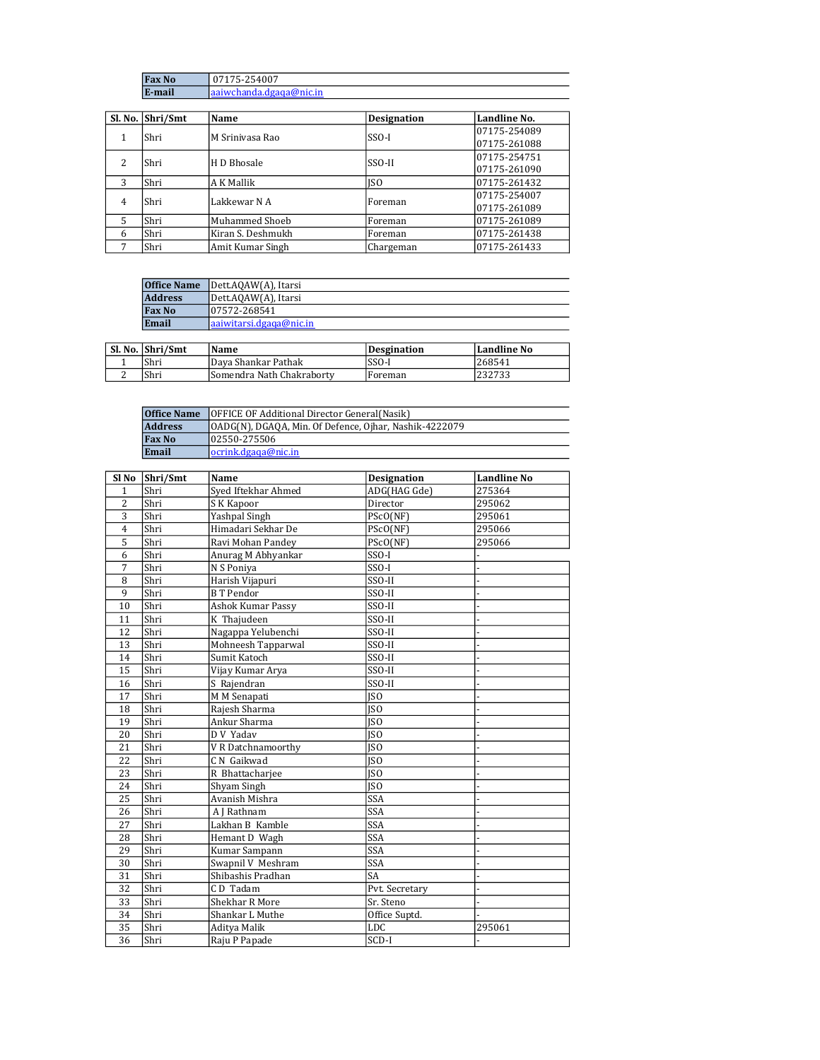| N <sub>0</sub> | 07175-254007             |
|----------------|--------------------------|
| E-mail         | laaiwchanda.dgaga@nic.in |

|                | Sl. No. Shri/Smt | Name              | <b>Designation</b> | Landline No. |
|----------------|------------------|-------------------|--------------------|--------------|
|                | Shri             | M Sriniyasa Rao   | $SSO-I$            | 07175-254089 |
|                |                  |                   |                    | 07175-261088 |
| 2              | Shri             | H D Bhosale       | SSO-II             | 07175-254751 |
|                |                  |                   |                    | 07175-261090 |
| 3              | Shri             | A K Mallik        | <b>ISO</b>         | 07175-261432 |
|                | Shri             | Lakkewar N A      | Foreman            | 07175-254007 |
| $\overline{4}$ |                  |                   |                    | 07175-261089 |
| 5              | Shri             | Muhammed Shoeb    | Foreman            | 07175-261089 |
| 6              | Shri             | Kiran S. Deshmukh | Foreman            | 07175-261438 |
| 7              | Shri             | Amit Kumar Singh  | Chargeman          | 07175-261433 |

| <b>Office Name</b> | Dett.AOAW(A), Itarsi     |
|--------------------|--------------------------|
| <b>Address</b>     | Dett.AQAW(A), Itarsi     |
| <b>Fax No</b>      | 107572-268541            |
| Email              | laaiwitarsi.dgaga@nic.in |

| Sl. No. Shri/Smt | Name                      | Desgination | Landline No |
|------------------|---------------------------|-------------|-------------|
| Shri             | Dava Shankar Pathak       | SSO-I       | 268541      |
| 'Shri            | Somendra Nath Chakraborty | Foreman     | 232733      |

| OFFICE OF Additional Director General (Nasik)<br><b>Office Name</b>       |                      |
|---------------------------------------------------------------------------|----------------------|
| <b>Address</b><br>[OADG(N), DGAQA, Min. Of Defence, Ojhar, Nashik-4222079 |                      |
| <b>Fax No</b>                                                             | 102550-275506        |
| Email                                                                     | locrink.dgaqa@nic.in |

| Sl No          | Shri/Smt | Name                  | <b>Designation</b> | <b>Landline No</b> |
|----------------|----------|-----------------------|--------------------|--------------------|
| $\mathbf{1}$   | Shri     | Syed Iftekhar Ahmed   | ADG(HAG Gde)       | 275364             |
| $\overline{2}$ | Shri     | SK Kapoor             | Director           | 295062             |
| 3              | Shri     | Yashpal Singh         | PScO(NF)           | 295061             |
| $\overline{4}$ | Shri     | Himadari Sekhar De    | PScO(NF)           | 295066             |
| 5              | Shri     | Ravi Mohan Pandey     | PScO(NF)           | 295066             |
| 6              | Shri     | Anurag M Abhyankar    | SSO-I              |                    |
| 7              | Shri     | N S Poniya            | SSO-I              |                    |
| 8              | Shri     | Harish Vijapuri       | SSO-II             |                    |
| 9              | Shri     | <b>BT</b> Pendor      | SSO-II             |                    |
| 10             | Shri     | Ashok Kumar Passy     | SSO-II             |                    |
| 11             | Shri     | K Thajudeen           | SSO-II             |                    |
| 12             | Shri     | Nagappa Yelubenchi    | SSO-II             |                    |
| 13             | Shri     | Mohneesh Tapparwal    | SSO-II             |                    |
| 14             | Shri     | Sumit Katoch          | SSO-II             |                    |
| 15             | Shri     | Vijay Kumar Arya      | SSO-II             |                    |
| 16             | Shri     | S Rajendran           | SSO-II             |                    |
| 17             | Shri     | M M Senapati          | <b>ISO</b>         |                    |
| 18             | Shri     | Rajesh Sharma         | <b>JSO</b>         |                    |
| 19             | Shri     | Ankur Sharma          | $\overline{ISO}$   |                    |
| 20             | Shri     | D V Yadav             | <b>JSO</b>         |                    |
| 21             | Shri     | V R Datchnamoorthy    | <b>ISO</b>         |                    |
| 22             | Shri     | C.N. Gaikwad          | <b>JSO</b>         |                    |
| 23             | Shri     | R Bhattacharjee       | <b>ISO</b>         |                    |
| 24             | Shri     | Shyam Singh           | <b>JSO</b>         |                    |
| 25             | Shri     | Avanish Mishra        | <b>SSA</b>         |                    |
| 26             | Shri     | A J Rathnam           | SSA                |                    |
| 27             | Shri     | Lakhan B Kamble       | <b>SSA</b>         |                    |
| 28             | Shri     | Hemant D Wagh         | SSA                |                    |
| 29             | Shri     | Kumar Sampann         | <b>SSA</b>         |                    |
| 30             | Shri     | Swapnil V Meshram     | SSA                |                    |
| 31             | Shri     | Shibashis Pradhan     | <b>SA</b>          |                    |
| 32             | Shri     | CD Tadam              | Pvt. Secretary     |                    |
| 33             | Shri     | <b>Shekhar R More</b> | Sr. Steno          |                    |
| 34             | Shri     | Shankar L Muthe       | Office Suptd.      |                    |
| 35             | Shri     | Aditya Malik          | <b>LDC</b>         | 295061             |
| 36             | Shri     | Raju P Papade         | $SCD-I$            |                    |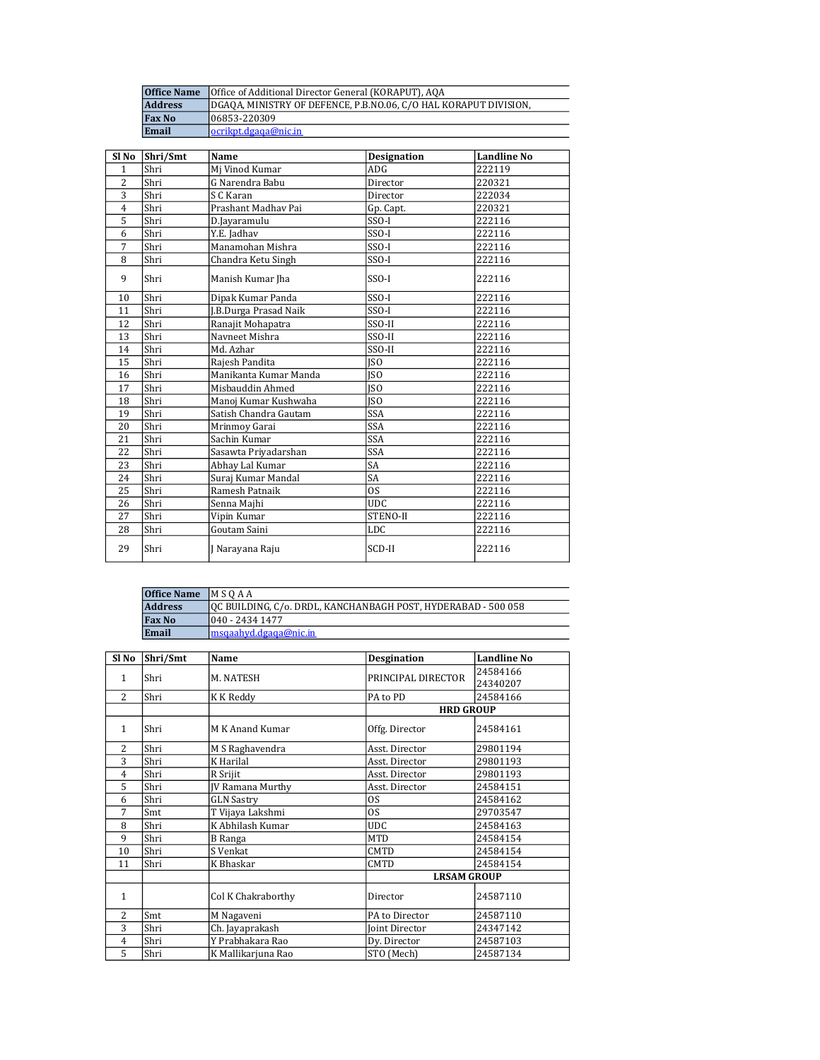| <b>Office Name</b> | Office of Additional Director General (KORAPUT), AQA             |
|--------------------|------------------------------------------------------------------|
| <b>Address</b>     | DGAOA, MINISTRY OF DEFENCE, P.B.NO.06, C/O HAL KORAPUT DIVISION, |
| <b>Fax No</b>      | 06853-220309                                                     |
| Email              | ocrikpt.dgaga@nic.in                                             |

| Sl No          | Shri/Smt | Name                  | <b>Designation</b> | <b>Landline No</b> |
|----------------|----------|-----------------------|--------------------|--------------------|
| $\mathbf{1}$   | Shri     | Mi Vinod Kumar        | ADG                | 222119             |
| $\overline{c}$ | Shri     | G Narendra Babu       | Director           | 220321             |
| 3              | Shri     | S C Karan             | Director           | 222034             |
| $\overline{4}$ | Shri     | Prashant Madhav Pai   | Gp. Capt.          | 220321             |
| 5              | Shri     | D.Jayaramulu          | SSO-I              | 222116             |
| 6              | Shri     | Y.E. Jadhav           | $SSO-I$            | 222116             |
| 7              | Shri     | Manamohan Mishra      | $SSO-I$            | 222116             |
| 8              | Shri     | Chandra Ketu Singh    | $SSO-I$            | 222116             |
| 9              | Shri     | Manish Kumar Jha      | $SSO-I$            | 222116             |
| 10             | Shri     | Dipak Kumar Panda     | SSO-I              | 222116             |
| 11             | Shri     | J.B.Durga Prasad Naik | SSO-I              | 222116             |
| 12             | Shri     | Ranajit Mohapatra     | SSO-II             | 222116             |
| 13             | Shri     | Navneet Mishra        | SSO-II             | 222116             |
| 14             | Shri     | Md. Azhar             | SSO-II             | 222116             |
| 15             | Shri     | Rajesh Pandita        | <b>ISO</b>         | 222116             |
| 16             | Shri     | Manikanta Kumar Manda | <b>ISO</b>         | 222116             |
| 17             | Shri     | Misbauddin Ahmed      | <b>ISO</b>         | 222116             |
| 18             | Shri     | Manoj Kumar Kushwaha  | <b>ISO</b>         | 222116             |
| 19             | Shri     | Satish Chandra Gautam | <b>SSA</b>         | 222116             |
| 20             | Shri     | Mrinmoy Garai         | <b>SSA</b>         | 222116             |
| 21             | Shri     | Sachin Kumar          | <b>SSA</b>         | 222116             |
| 22             | Shri     | Sasawta Priyadarshan  | <b>SSA</b>         | 222116             |
| 23             | Shri     | Abhay Lal Kumar       | SA                 | 222116             |
| 24             | Shri     | Suraj Kumar Mandal    | <b>SA</b>          | 222116             |
| 25             | Shri     | Ramesh Patnaik        | <b>OS</b>          | 222116             |
| 26             | Shri     | Senna Majhi           | <b>UDC</b>         | 222116             |
| 27             | Shri     | Vipin Kumar           | STENO-II           | 222116             |
| 28             | Shri     | Goutam Saini          | <b>LDC</b>         | 222116             |
| 29             | Shri     | J Narayana Raju       | SCD-II             | 222116             |

| <b>Office Name</b> | MSOAA                                                         |
|--------------------|---------------------------------------------------------------|
| <b>Address</b>     | OC BUILDING, C/o. DRDL, KANCHANBAGH POST, HYDERABAD - 500 058 |
| <b>Fax No</b>      | 1040 - 2434 1477                                              |
| Email              | lmsgaahyd.dgaga@nic.in                                        |

| Sl No          | Shri/Smt | Name                    | <b>Desgination</b> | <b>Landline No</b> |
|----------------|----------|-------------------------|--------------------|--------------------|
| 1              | Shri     | M. NATESH               | PRINCIPAL DIRECTOR | 24584166           |
|                |          |                         |                    | 24340207           |
| 2              | Shri     | K K Reddy               | PA to PD           | 24584166           |
|                |          |                         | <b>HRD GROUP</b>   |                    |
| $\mathbf{1}$   | Shri     | M K Anand Kumar         | Offg. Director     | 24584161           |
| 2              | Shri     | M S Raghavendra         | Asst. Director     | 29801194           |
| 3              | Shri     | K Harilal               | Asst. Director     | 29801193           |
| $\overline{4}$ | Shri     | R Srijit                | Asst. Director     | 29801193           |
| 5              | Shri     | <b>JV Ramana Murthy</b> | Asst. Director     | 24584151           |
| 6              | Shri     | <b>GLN Sastry</b>       | <b>OS</b>          | 24584162           |
| 7              | Smt      | T Vijaya Lakshmi        | OS.                | 29703547           |
| 8              | Shri     | K Abhilash Kumar        | <b>UDC</b>         | 24584163           |
| 9              | Shri     | B Ranga                 | <b>MTD</b>         | 24584154           |
| 10             | Shri     | S Venkat                | <b>CMTD</b>        | 24584154           |
| 11             | Shri     | K Bhaskar               | <b>CMTD</b>        | 24584154           |
|                |          |                         | <b>LRSAM GROUP</b> |                    |
| $\mathbf{1}$   |          | Col K Chakraborthy      | Director           | 24587110           |
| 2              | Smt      | M Nagaveni              | PA to Director     | 24587110           |
| 3              | Shri     | Ch. Jayaprakash         | Joint Director     | 24347142           |
| $\overline{4}$ | Shri     | Y Prabhakara Rao        | Dy. Director       | 24587103           |
| 5              | Shri     | K Mallikarjuna Rao      | STO (Mech)         | 24587134           |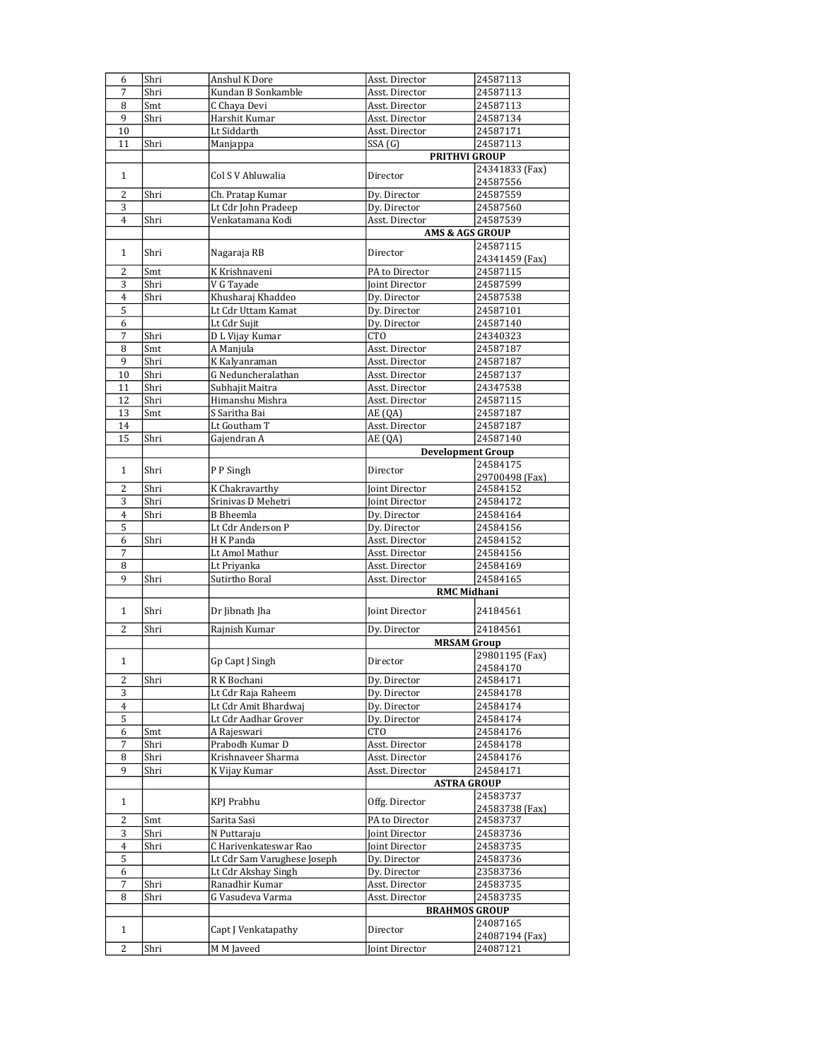| 6              | Shri | Anshul K Dore               | Asst. Director             | 24587113                   |
|----------------|------|-----------------------------|----------------------------|----------------------------|
| 7              | Shri | Kundan B Sonkamble          | Asst. Director             | 24587113                   |
| 8              | Smt  | C Chaya Devi                | Asst. Director             | 24587113                   |
| 9              | Shri | Harshit Kumar               | Asst. Director             | 24587134                   |
| 10             |      | Lt Siddarth                 | Asst. Director             | 24587171                   |
| 11             | Shri | Manjappa                    | SSA(G)                     | 24587113                   |
|                |      |                             | <b>PRITHVI GROUP</b>       |                            |
| $\mathbf{1}$   |      | Col S V Ahluwalia           | Director                   | 24341833 (Fax)<br>24587556 |
| 2              | Shri | Ch. Pratap Kumar            | Dy. Director               | 24587559                   |
| 3              |      | Lt Cdr John Pradeep         | Dy. Director               | 24587560                   |
| $\overline{4}$ | Shri | Venkatamana Kodi            | Asst. Director             | 24587539                   |
|                |      |                             | <b>AMS &amp; AGS GROUP</b> |                            |
| $\mathbf{1}$   | Shri | Nagaraja RB                 | Director                   | 24587115<br>24341459 (Fax) |
| 2              | Smt  | K Krishnaveni               | PA to Director             | 24587115                   |
| 3              | Shri | V G Tayade                  | Joint Director             | 24587599                   |
| $\overline{4}$ | Shri | Khusharaj Khaddeo           | Dy. Director               | 24587538                   |
| 5              |      | Lt Cdr Uttam Kamat          | Dy. Director               | 24587101                   |
| 6              |      | Lt Cdr Sujit                | Dy. Director               | 24587140                   |
| 7              | Shri | D L Vijay Kumar             | CTO                        | 24340323                   |
| 8              | Smt  | A Manjula                   | Asst. Director             | 24587187                   |
| 9              | Shri | K Kalyanraman               | Asst. Director             | 24587187                   |
| 10             | Shri | G Neduncheralathan          | Asst. Director             | 24587137                   |
|                | Shri | Subhajit Maitra             | Asst. Director             |                            |
| 11<br>12       | Shri | Himanshu Mishra             |                            | 24347538                   |
|                |      |                             | Asst. Director             | 24587115                   |
| 13             | Smt  | S Saritha Bai               | AE(QA)                     | 24587187                   |
| 14             |      | Lt Goutham T                | Asst. Director             | 24587187                   |
| 15             | Shri | Gajendran A                 | AE (QA)                    | 24587140                   |
|                |      |                             | <b>Development Group</b>   |                            |
| $\mathbf{1}$   | Shri | P P Singh                   | Director                   | 24584175<br>29700498 (Fax) |
| $\overline{2}$ | Shri | K Chakravarthy              | Joint Director             | 24584152                   |
| 3              | Shri | Srinivas D Mehetri          | Joint Director             | 24584172                   |
| 4              | Shri | <b>B</b> Bheemla            | Dy. Director               | 24584164                   |
| 5              |      | Lt Cdr Anderson P           | Dy. Director               | 24584156                   |
| 6              | Shri | H K Panda                   | Asst. Director             | 24584152                   |
| 7              |      | Lt Amol Mathur              | Asst. Director             | 24584156                   |
| 8              |      | Lt Priyanka                 | Asst. Director             | 24584169                   |
| 9              | Shri | Sutirtho Boral              | Asst. Director             | 24584165                   |
|                |      |                             | <b>RMC Midhani</b>         |                            |
| $\mathbf{1}$   | Shri | Dr Jibnath Jha              | Joint Director             | 24184561                   |
| $\overline{2}$ | Shri | Rajnish Kumar               | Dy. Director               | 24184561                   |
|                |      |                             | <b>MRSAM Group</b>         |                            |
|                |      |                             |                            | 29801195 (Fax)             |
| $\mathbf{1}$   |      | Gp Capt J Singh             | Director                   | 24584170                   |
| 2              | Shri | R K Bochani                 | Dy. Director               | 24584171                   |
| 3              |      | Lt Cdr Raja Raheem          | Dy. Director               | 24584178                   |
| 4              |      | Lt Cdr Amit Bhardwaj        | Dy. Director               | 24584174                   |
| 5              |      | Lt Cdr Aadhar Grover        | Dy. Director               | 24584174                   |
| 6              | Smt  | A Rajeswari                 | <b>CTO</b>                 | 24584176                   |
| 7              | Shri | Prabodh Kumar D             | Asst. Director             | 24584178                   |
| 8              | Shri | Krishnaveer Sharma          | Asst. Director             | 24584176                   |
| 9              | Shri | K Vijay Kumar               | Asst. Director             | 24584171                   |
|                |      |                             | <b>ASTRA GROUP</b>         |                            |
| $\mathbf{1}$   |      | <b>KPJ</b> Prabhu           | Offg. Director             | 24583737<br>24583738 (Fax) |
| 2              | Smt  | Sarita Sasi                 | PA to Director             | 24583737                   |
| 3              | Shri | N Puttaraju                 | Joint Director             | 24583736                   |
| $\overline{4}$ | Shri | C Harivenkateswar Rao       | Joint Director             | 24583735                   |
| 5              |      | Lt Cdr Sam Varughese Joseph | Dy. Director               | 24583736                   |
| 6              |      | Lt Cdr Akshay Singh         | Dy. Director               | 23583736                   |
| 7              | Shri | Ranadhir Kumar              | Asst. Director             | 24583735                   |
| 8              | Shri | G Vasudeva Varma            | Asst. Director             | 24583735                   |
|                |      |                             | <b>BRAHMOS GROUP</b>       |                            |
|                |      |                             |                            | 24087165                   |
| $\mathbf{1}$   |      | Capt J Venkatapathy         | Director                   | 24087194 (Fax)             |
| $\overline{c}$ | Shri | M M Javeed                  | Joint Director             | 24087121                   |
|                |      |                             |                            |                            |